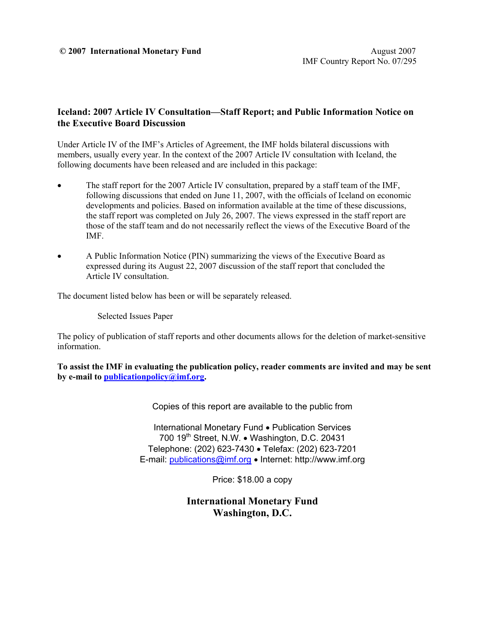### **Iceland: 2007 Article IV Consultation—Staff Report; and Public Information Notice on the Executive Board Discussion**

Under Article IV of the IMF's Articles of Agreement, the IMF holds bilateral discussions with members, usually every year. In the context of the 2007 Article IV consultation with Iceland, the following documents have been released and are included in this package:

- The staff report for the 2007 Article IV consultation, prepared by a staff team of the IMF, following discussions that ended on June 11, 2007, with the officials of Iceland on economic developments and policies. Based on information available at the time of these discussions, the staff report was completed on July 26, 2007. The views expressed in the staff report are those of the staff team and do not necessarily reflect the views of the Executive Board of the IMF.
- A Public Information Notice (PIN) summarizing the views of the Executive Board as expressed during its August 22, 2007 discussion of the staff report that concluded the Article IV consultation.

The document listed below has been or will be separately released.

Selected Issues Paper

The policy of publication of staff reports and other documents allows for the deletion of market-sensitive information.

**To assist the IMF in evaluating the publication policy, reader comments are invited and may be sent by e-mail to publicationpolicy@imf.org.**

Copies of this report are available to the public from

International Monetary Fund • Publication Services 700 19<sup>th</sup> Street, N.W. • Washington, D.C. 20431 Telephone: (202) 623-7430 • Telefax: (202) 623-7201 E-mail: publications@imf.org • Internet: http://www.imf.org

Price: \$18.00 a copy

**International Monetary Fund Washington, D.C.**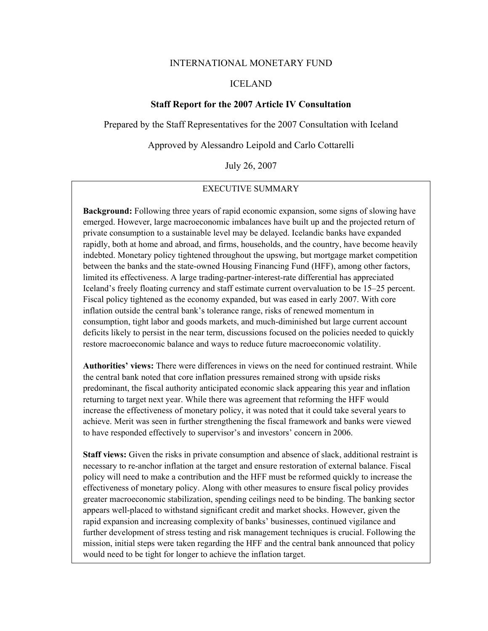### INTERNATIONAL MONETARY FUND

### ICELAND

### **Staff Report for the 2007 Article IV Consultation**

Prepared by the Staff Representatives for the 2007 Consultation with Iceland

Approved by Alessandro Leipold and Carlo Cottarelli

July 26, 2007

### EXECUTIVE SUMMARY

**Background:** Following three years of rapid economic expansion, some signs of slowing have emerged. However, large macroeconomic imbalances have built up and the projected return of private consumption to a sustainable level may be delayed. Icelandic banks have expanded rapidly, both at home and abroad, and firms, households, and the country, have become heavily indebted. Monetary policy tightened throughout the upswing, but mortgage market competition between the banks and the state-owned Housing Financing Fund (HFF), among other factors, limited its effectiveness. A large trading-partner-interest-rate differential has appreciated Iceland's freely floating currency and staff estimate current overvaluation to be 15–25 percent. Fiscal policy tightened as the economy expanded, but was eased in early 2007. With core inflation outside the central bank's tolerance range, risks of renewed momentum in consumption, tight labor and goods markets, and much-diminished but large current account deficits likely to persist in the near term, discussions focused on the policies needed to quickly restore macroeconomic balance and ways to reduce future macroeconomic volatility.

**Authorities' views:** There were differences in views on the need for continued restraint. While the central bank noted that core inflation pressures remained strong with upside risks predominant, the fiscal authority anticipated economic slack appearing this year and inflation returning to target next year. While there was agreement that reforming the HFF would increase the effectiveness of monetary policy, it was noted that it could take several years to achieve. Merit was seen in further strengthening the fiscal framework and banks were viewed to have responded effectively to supervisor's and investors' concern in 2006.

**Staff views:** Given the risks in private consumption and absence of slack, additional restraint is necessary to re-anchor inflation at the target and ensure restoration of external balance. Fiscal policy will need to make a contribution and the HFF must be reformed quickly to increase the effectiveness of monetary policy. Along with other measures to ensure fiscal policy provides greater macroeconomic stabilization, spending ceilings need to be binding. The banking sector appears well-placed to withstand significant credit and market shocks. However, given the rapid expansion and increasing complexity of banks' businesses, continued vigilance and further development of stress testing and risk management techniques is crucial. Following the mission, initial steps were taken regarding the HFF and the central bank announced that policy would need to be tight for longer to achieve the inflation target.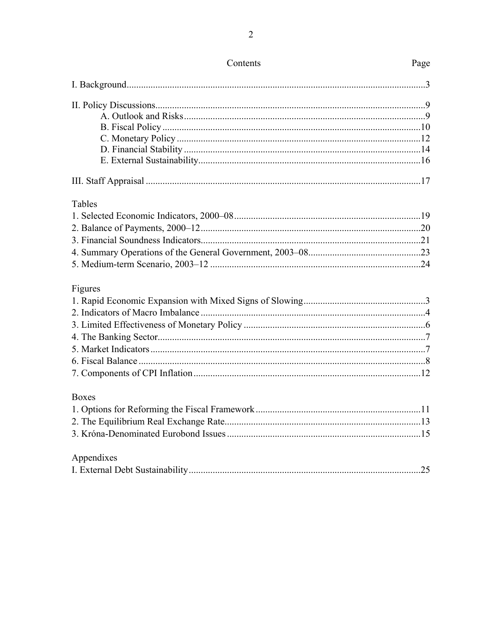| Tables       |  |
|--------------|--|
|              |  |
|              |  |
|              |  |
|              |  |
|              |  |
| Figures      |  |
|              |  |
|              |  |
|              |  |
|              |  |
|              |  |
|              |  |
|              |  |
| <b>Boxes</b> |  |
|              |  |
|              |  |
|              |  |
| Appendixes   |  |
|              |  |
|              |  |

# Contents

# Page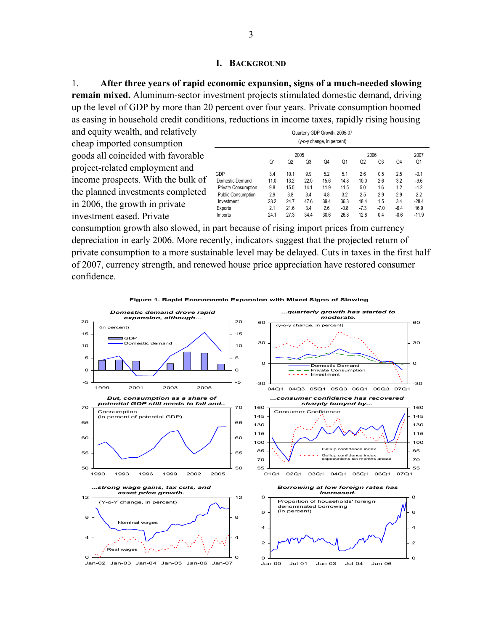### **I. BACKGROUND**

1. **After three years of rapid economic expansion, signs of a much-needed slowing remain mixed.** Aluminum-sector investment projects stimulated domestic demand, driving up the level of GDP by more than 20 percent over four years. Private consumption boomed as easing in household credit conditions, reductions in income taxes, rapidly rising housing

and equity wealth, and relatively cheap imported consumption goods all coincided with favorable project-related employment and income prospects. With the bulk of the planned investments completed in 2006, the growth in private investment eased. Private

| Quarterly GDP Growth, 2005-07<br>(y-o-y change, in percent) |                |                |                |      |                |        |        |        |         |  |
|-------------------------------------------------------------|----------------|----------------|----------------|------|----------------|--------|--------|--------|---------|--|
|                                                             |                |                | 2005           |      |                | 2006   |        |        | 2007    |  |
|                                                             | Q <sub>1</sub> | Q <sub>2</sub> | Q <sub>3</sub> | Q4   | Q <sub>1</sub> | Q2     | Q3     | Q4     | Q1      |  |
| GDP                                                         | 3.4            | 10.1           | 9.9            | 5.2  | 5.1            | 2.6    | 0.5    | 2.5    | $-0.1$  |  |
| Domestic Demand                                             | 11.0           | 13.2           | 22.0           | 15.6 | 14.8           | 10.0   | 2.6    | 3.2    | $-9.6$  |  |
| <b>Private Consumption</b>                                  | 9.8            | 15.5           | 14.1           | 11.9 | 11.5           | 5.0    | 1.6    | 1.2    | $-1.2$  |  |
| <b>Public Consumption</b>                                   | 2.9            | 3.8            | 3.4            | 4.8  | 3.2            | 2.5    | 2.9    | 2.9    | 2.2     |  |
| Investment                                                  | 23.2           | 24.7           | 47.6           | 39.4 | 36.3           | 18.4   | 1.5    | 3.4    | $-28.4$ |  |
| Exports                                                     | 2.1            | 21.6           | 3.4            | 2.6  | $-0.8$         | $-7.3$ | $-7.0$ | $-6.4$ | 16.9    |  |
| Imports                                                     | 24.1           | 27.3           | 34.4           | 30.6 | 26.8           | 12.8   | 0.4    | $-0.6$ | $-11.9$ |  |

consumption growth also slowed, in part because of rising import prices from currency depreciation in early 2006. More recently, indicators suggest that the projected return of private consumption to a more sustainable level may be delayed. Cuts in taxes in the first half of 2007, currency strength, and renewed house price appreciation have restored consumer confidence.



**Figure 1. Rapid Econonomic Expansion with Mixed Signs of Slowing**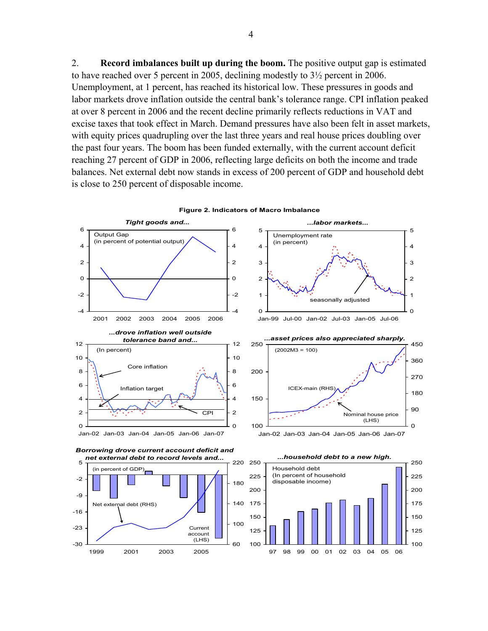2. **Record imbalances built up during the boom.** The positive output gap is estimated to have reached over 5 percent in 2005, declining modestly to 3½ percent in 2006. Unemployment, at 1 percent, has reached its historical low. These pressures in goods and labor markets drove inflation outside the central bank's tolerance range. CPI inflation peaked at over 8 percent in 2006 and the recent decline primarily reflects reductions in VAT and excise taxes that took effect in March. Demand pressures have also been felt in asset markets, with equity prices quadrupling over the last three years and real house prices doubling over the past four years. The boom has been funded externally, with the current account deficit reaching 27 percent of GDP in 2006, reflecting large deficits on both the income and trade balances. Net external debt now stands in excess of 200 percent of GDP and household debt is close to 250 percent of disposable income.



**Figure 2. Indicators of Macro Imbalance**

 $\mathfrak{p}$ 3 4

5



*...labor markets...*

Unemployment rate (in percent)

> $\mathfrak{p}$ 3

4

5

Jan-02 Jan-03 Jan-04 Jan-05 Jan-06 Jan-07



*...household debt to a new high.*

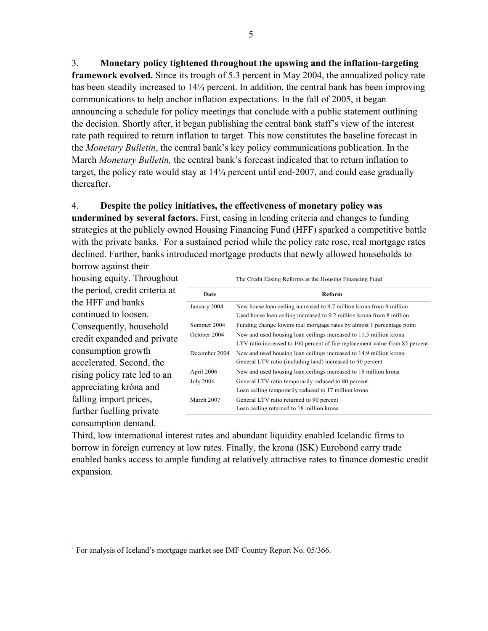3. **Monetary policy tightened throughout the upswing and the inflation-targeting framework evolved.** Since its trough of 5.3 percent in May 2004, the annualized policy rate has been steadily increased to 14¼ percent. In addition, the central bank has been improving communications to help anchor inflation expectations. In the fall of 2005, it began announcing a schedule for policy meetings that conclude with a public statement outlining the decision. Shortly after, it began publishing the central bank staff's view of the interest rate path required to return inflation to target. This now constitutes the baseline forecast in the *Monetary Bulletin*, the central bank's key policy communications publication. In the March *Monetary Bulletin,* the central bank's forecast indicated that to return inflation to target, the policy rate would stay at 14¼ percent until end-2007, and could ease gradually thereafter.

### 4. **Despite the policy initiatives, the effectiveness of monetary policy was**

**undermined by several factors.** First, easing in lending criteria and changes to funding strategies at the publicly owned Housing Financing Fund (HFF) sparked a competitive battle with the private banks.<sup>1</sup> For a sustained period while the policy rate rose, real mortgage rates declined. Further, banks introduced mortgage products that newly allowed households to

borrow against their housing equity. Throughout the period, credit criteria at the HFF and banks continued to loosen. Consequently, household credit expanded and private consumption growth accelerated. Second, the rising policy rate led to an appreciating króna and falling import prices, further fuelling private consumption demand.

 $\overline{a}$ 

|                  | The Credit Easing Reforms at the Housing Financing Fund                      |  |  |  |  |  |
|------------------|------------------------------------------------------------------------------|--|--|--|--|--|
| Date             | Reform                                                                       |  |  |  |  |  |
| January 2004     | New house loan ceiling increased to 9.7 million krona from 9 million         |  |  |  |  |  |
|                  | Used house loan ceiling increased to 9.2 million krona from 8 million        |  |  |  |  |  |
| Summer 2004      | Funding change lowers real mortgage rates by almost 1 percentage point       |  |  |  |  |  |
| October 2004     | New and used housing loan ceilings increased to 11.5 million krona           |  |  |  |  |  |
|                  | LTV ratio increased to 100 percent of fire replacement value from 85 percent |  |  |  |  |  |
| December 2004    | New and used housing loan ceilings increased to 14.9 million krona           |  |  |  |  |  |
|                  | General LTV ratio (including land) increased to 90 percent                   |  |  |  |  |  |
| April 2006       | New and used housing loan ceilings increased to 18 million krona             |  |  |  |  |  |
| <b>July 2006</b> | General LTV ratio temporarily reduced to 80 percent                          |  |  |  |  |  |
|                  | Loan ceiling temporarily reduced to 17 million krona                         |  |  |  |  |  |
| March 2007       | General LTV ratio returned to 90 percent                                     |  |  |  |  |  |
|                  | Loan ceiling returned to 18 million krona                                    |  |  |  |  |  |

Third, low international interest rates and abundant liquidity enabled Icelandic firms to borrow in foreign currency at low rates. Finally, the krona (ISK) Eurobond carry trade enabled banks access to ample funding at relatively attractive rates to finance domestic credit expansion.

<sup>&</sup>lt;sup>1</sup> For analysis of Iceland's mortgage market see IMF Country Report No. 05/366.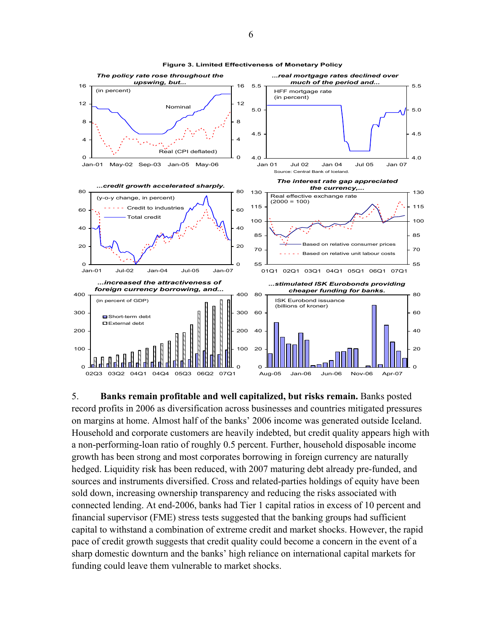

**Figure 3. Limited Effectiveness of Monetary Policy**

5. **Banks remain profitable and well capitalized, but risks remain.** Banks posted record profits in 2006 as diversification across businesses and countries mitigated pressures on margins at home. Almost half of the banks' 2006 income was generated outside Iceland. Household and corporate customers are heavily indebted, but credit quality appears high with a non-performing-loan ratio of roughly 0.5 percent. Further, household disposable income growth has been strong and most corporates borrowing in foreign currency are naturally hedged. Liquidity risk has been reduced, with 2007 maturing debt already pre-funded, and sources and instruments diversified. Cross and related-parties holdings of equity have been sold down, increasing ownership transparency and reducing the risks associated with connected lending. At end-2006, banks had Tier 1 capital ratios in excess of 10 percent and financial supervisor (FME) stress tests suggested that the banking groups had sufficient capital to withstand a combination of extreme credit and market shocks. However, the rapid pace of credit growth suggests that credit quality could become a concern in the event of a sharp domestic downturn and the banks' high reliance on international capital markets for funding could leave them vulnerable to market shocks.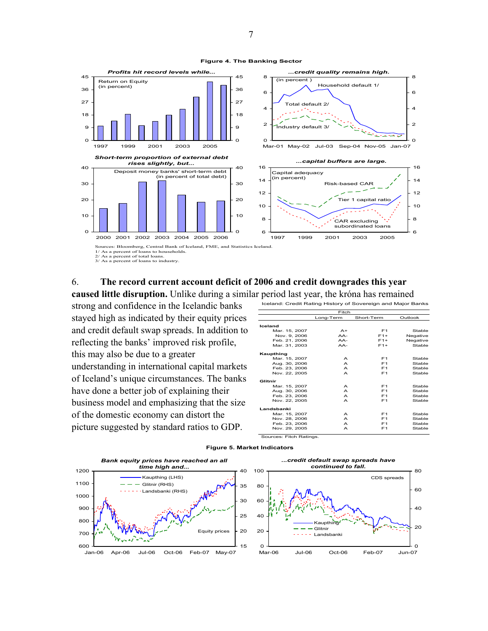

2/ As a percent of total loans. 3/ As a percent of loans to industry.

### 6. **The record current account deficit of 2006 and credit downgrades this year**

**caused little disruption.** Unlike during a similar period last year, the króna has remained

strong and confidence in the Icelandic banks stayed high as indicated by their equity prices and credit default swap spreads. In addition to reflecting the banks' improved risk profile, this may also be due to a greater understanding in international capital markets of Iceland's unique circumstances. The banks have done a better job of explaining their business model and emphasizing that the size of the domestic economy can distort the picture suggested by standard ratios to GDP.

| Iceland: Credit Rating History of Sovereign and Major Banks |                  |                |          |  |  |  |  |
|-------------------------------------------------------------|------------------|----------------|----------|--|--|--|--|
|                                                             | Fitch            |                |          |  |  |  |  |
|                                                             | Long-Term        | Short-Term     | Outlook  |  |  |  |  |
| Iceland                                                     |                  |                |          |  |  |  |  |
| Mar. 15, 2007                                               | $A+$             | F <sub>1</sub> | Stable   |  |  |  |  |
| Nov. 9, 2006                                                | $AA-$            | $F1+$          | Negative |  |  |  |  |
| Feb. 21, 2006                                               | $AA-$            | $F1+$          | Negative |  |  |  |  |
| Mar. 31, 2003                                               | $AA-$            | $F1+$          | Stable   |  |  |  |  |
| Kaupthing                                                   |                  |                |          |  |  |  |  |
| Mar. 15, 2007                                               | $\triangleright$ | F <sub>1</sub> | Stable   |  |  |  |  |
| Aug. 30, 2006                                               | A                | F <sub>1</sub> | Stable   |  |  |  |  |
| Feb. 23, 2006                                               | A                | F <sub>1</sub> | Stable   |  |  |  |  |
| Nov. 22, 2005                                               | $\triangleright$ | F <sub>1</sub> | Stable   |  |  |  |  |
| Glitnir                                                     |                  |                |          |  |  |  |  |
| Mar. 15, 2007                                               | А                | F <sub>1</sub> | Stable   |  |  |  |  |
| Aug. 30, 2006                                               | А                | F <sub>1</sub> | Stable   |  |  |  |  |
| Feb. 23, 2006                                               | А                | F <sub>1</sub> | Stable   |  |  |  |  |
| Nov. 22, 2005                                               | А                | F <sub>1</sub> | Stable   |  |  |  |  |
| Landsbanki                                                  |                  |                |          |  |  |  |  |
| Mar. 15, 2007                                               | А                | F <sub>1</sub> | Stable   |  |  |  |  |
| Nov. 28, 2006                                               | А                | F <sub>1</sub> | Stable   |  |  |  |  |
| Feb. 23, 2006                                               | А                | F <sub>1</sub> | Stable   |  |  |  |  |
| Nov. 29, 2005                                               | А                | F <sub>1</sub> | Stable   |  |  |  |  |

Sources: Fitch Ratings.



#### **Figure 5. Market Indicators**

**Figure 4. The Banking Sector**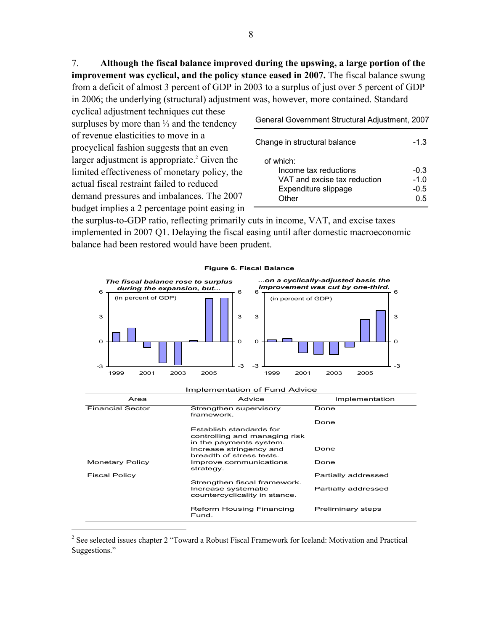7. **Although the fiscal balance improved during the upswing, a large portion of the improvement was cyclical, and the policy stance eased in 2007.** The fiscal balance swung from a deficit of almost 3 percent of GDP in 2003 to a surplus of just over 5 percent of GDP in 2006; the underlying (structural) adjustment was, however, more contained. Standard

cyclical adjustment techniques cut these surpluses by more than ⅓ and the tendency of revenue elasticities to move in a procyclical fashion suggests that an even larger adjustment is appropriate.<sup>2</sup> Given the limited effectiveness of monetary policy, the actual fiscal restraint failed to reduced demand pressures and imbalances. The 2007 budget implies a 2 percentage point easing in

1

General Government Structural Adjustment, 2007

| Change in structural balance                                                                        | $-1.3$                          |
|-----------------------------------------------------------------------------------------------------|---------------------------------|
| of which:<br>Income tax reductions<br>VAT and excise tax reduction<br>Expenditure slippage<br>Other | $-0.3$<br>$-1.0$<br>-0.5<br>ი 5 |

the surplus-to-GDP ratio, reflecting primarily cuts in income, VAT, and excise taxes implemented in 2007 Q1. Delaying the fiscal easing until after domestic macroeconomic balance had been restored would have been prudent.



### **Figure 6. Fiscal Balance**

<sup>&</sup>lt;sup>2</sup> See selected issues chapter 2 "Toward a Robust Fiscal Framework for Iceland: Motivation and Practical Suggestions."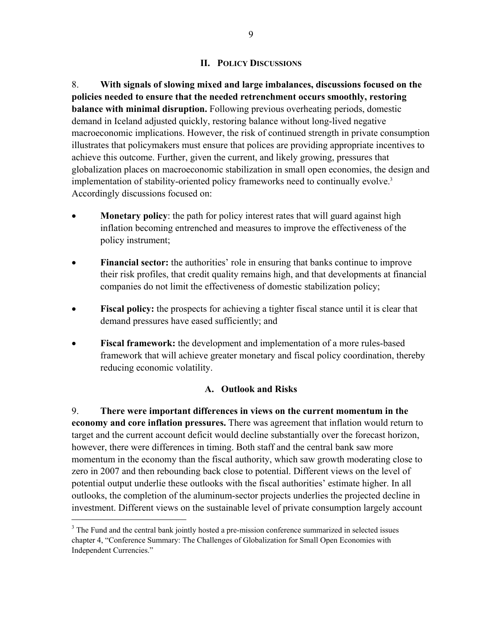### **II. POLICY DISCUSSIONS**

8. **With signals of slowing mixed and large imbalances, discussions focused on the policies needed to ensure that the needed retrenchment occurs smoothly, restoring balance with minimal disruption.** Following previous overheating periods, domestic demand in Iceland adjusted quickly, restoring balance without long-lived negative macroeconomic implications. However, the risk of continued strength in private consumption illustrates that policymakers must ensure that polices are providing appropriate incentives to achieve this outcome. Further, given the current, and likely growing, pressures that globalization places on macroeconomic stabilization in small open economies, the design and implementation of stability-oriented policy frameworks need to continually evolve.<sup>3</sup> Accordingly discussions focused on:

- **Monetary policy**: the path for policy interest rates that will guard against high inflation becoming entrenched and measures to improve the effectiveness of the policy instrument;
- **Financial sector:** the authorities' role in ensuring that banks continue to improve their risk profiles, that credit quality remains high, and that developments at financial companies do not limit the effectiveness of domestic stabilization policy;
- **Fiscal policy:** the prospects for achieving a tighter fiscal stance until it is clear that demand pressures have eased sufficiently; and
- **Fiscal framework:** the development and implementation of a more rules-based framework that will achieve greater monetary and fiscal policy coordination, thereby reducing economic volatility.

### **A. Outlook and Risks**

9. **There were important differences in views on the current momentum in the economy and core inflation pressures.** There was agreement that inflation would return to target and the current account deficit would decline substantially over the forecast horizon, however, there were differences in timing. Both staff and the central bank saw more momentum in the economy than the fiscal authority, which saw growth moderating close to zero in 2007 and then rebounding back close to potential. Different views on the level of potential output underlie these outlooks with the fiscal authorities' estimate higher. In all outlooks, the completion of the aluminum-sector projects underlies the projected decline in investment. Different views on the sustainable level of private consumption largely account

1

<sup>&</sup>lt;sup>3</sup> The Fund and the central bank jointly hosted a pre-mission conference summarized in selected issues chapter 4, "Conference Summary: The Challenges of Globalization for Small Open Economies with Independent Currencies."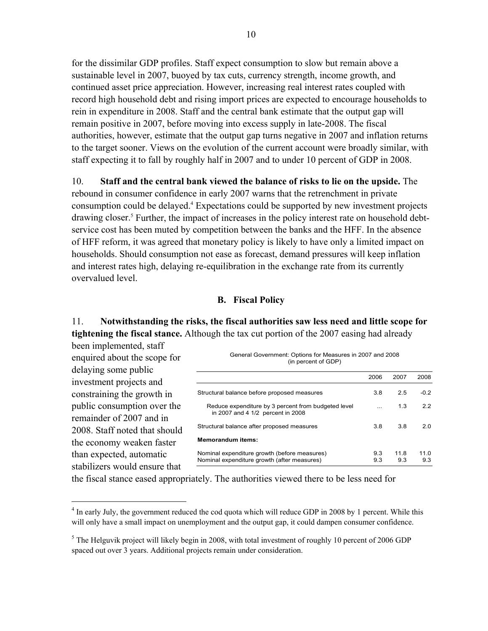for the dissimilar GDP profiles. Staff expect consumption to slow but remain above a sustainable level in 2007, buoyed by tax cuts, currency strength, income growth, and continued asset price appreciation. However, increasing real interest rates coupled with record high household debt and rising import prices are expected to encourage households to rein in expenditure in 2008. Staff and the central bank estimate that the output gap will remain positive in 2007, before moving into excess supply in late-2008. The fiscal authorities, however, estimate that the output gap turns negative in 2007 and inflation returns to the target sooner. Views on the evolution of the current account were broadly similar, with staff expecting it to fall by roughly half in 2007 and to under 10 percent of GDP in 2008.

10. **Staff and the central bank viewed the balance of risks to lie on the upside.** The rebound in consumer confidence in early 2007 warns that the retrenchment in private consumption could be delayed.4 Expectations could be supported by new investment projects drawing closer.<sup>5</sup> Further, the impact of increases in the policy interest rate on household debtservice cost has been muted by competition between the banks and the HFF. In the absence of HFF reform, it was agreed that monetary policy is likely to have only a limited impact on households. Should consumption not ease as forecast, demand pressures will keep inflation and interest rates high, delaying re-equilibration in the exchange rate from its currently overvalued level.

### **B. Fiscal Policy**

11. **Notwithstanding the risks, the fiscal authorities saw less need and little scope for tightening the fiscal stance.** Although the tax cut portion of the 2007 easing had already

been implemented, staff enquired about the scope for delaying some public investment projects and constraining the growth in public consumption over the remainder of 2007 and in 2008. Staff noted that should the economy weaken faster than expected, automatic stabilizers would ensure that

 $\overline{a}$ 

| General Government: Options for Measures in 2007 and 2008<br>(in percent of GDP)            |            |             |             |
|---------------------------------------------------------------------------------------------|------------|-------------|-------------|
|                                                                                             | 2006       | 2007        | 2008        |
| Structural balance before proposed measures                                                 | 3.8        | 2.5         | $-0.2$      |
| Reduce expenditure by 3 percent from budgeted level<br>in 2007 and 4 1/2 percent in 2008    |            | 1.3         | 2.2         |
| Structural balance after proposed measures                                                  | 3.8        | 3.8         | 2.0         |
| <b>Memorandum items:</b>                                                                    |            |             |             |
| Nominal expenditure growth (before measures)<br>Nominal expenditure growth (after measures) | 9.3<br>9.3 | 11.8<br>9.3 | 11.0<br>9.3 |

the fiscal stance eased appropriately. The authorities viewed there to be less need for

<sup>&</sup>lt;sup>4</sup> In early July, the government reduced the cod quota which will reduce GDP in 2008 by 1 percent. While this will only have a small impact on unemployment and the output gap, it could dampen consumer confidence.

 $<sup>5</sup>$  The Helguvik project will likely begin in 2008, with total investment of roughly 10 percent of 2006 GDP</sup> spaced out over 3 years. Additional projects remain under consideration.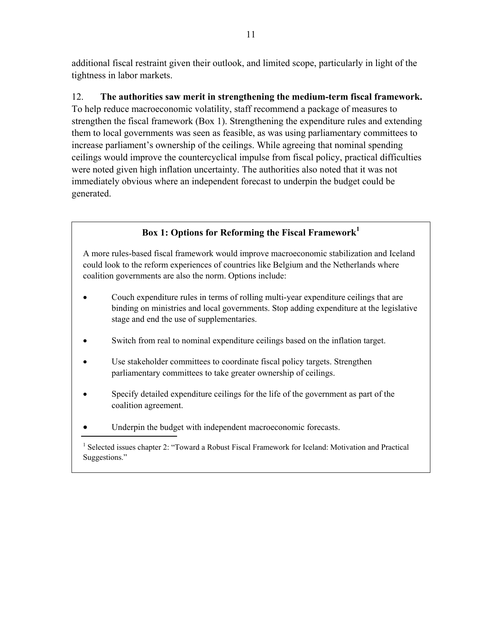additional fiscal restraint given their outlook, and limited scope, particularly in light of the tightness in labor markets.

12. **The authorities saw merit in strengthening the medium-term fiscal framework.** To help reduce macroeconomic volatility, staff recommend a package of measures to strengthen the fiscal framework (Box 1). Strengthening the expenditure rules and extending them to local governments was seen as feasible, as was using parliamentary committees to increase parliament's ownership of the ceilings. While agreeing that nominal spending ceilings would improve the countercyclical impulse from fiscal policy, practical difficulties were noted given high inflation uncertainty. The authorities also noted that it was not immediately obvious where an independent forecast to underpin the budget could be generated.

## **Box 1: Options for Reforming the Fiscal Framework<sup>1</sup>**

A more rules-based fiscal framework would improve macroeconomic stabilization and Iceland could look to the reform experiences of countries like Belgium and the Netherlands where coalition governments are also the norm. Options include:

- Couch expenditure rules in terms of rolling multi-year expenditure ceilings that are binding on ministries and local governments. Stop adding expenditure at the legislative stage and end the use of supplementaries.
- Switch from real to nominal expenditure ceilings based on the inflation target.
- Use stakeholder committees to coordinate fiscal policy targets. Strengthen parliamentary committees to take greater ownership of ceilings.
- Specify detailed expenditure ceilings for the life of the government as part of the coalition agreement.
- Underpin the budget with independent macroeconomic forecasts.

<sup>&</sup>lt;sup>1</sup> Selected issues chapter 2: "Toward a Robust Fiscal Framework for Iceland: Motivation and Practical Suggestions."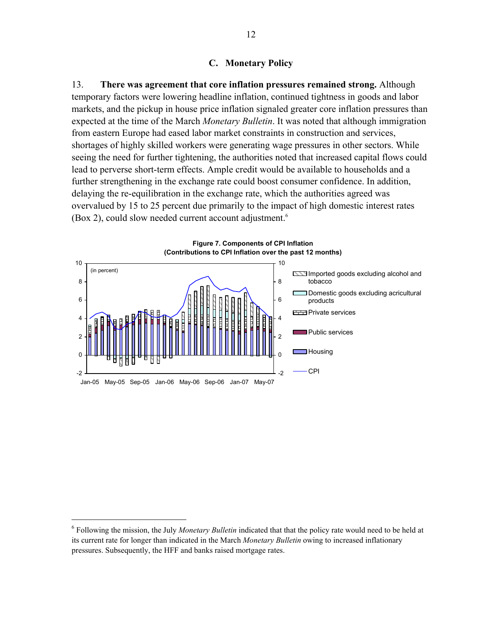### **C. Monetary Policy**

13. **There was agreement that core inflation pressures remained strong.** Although temporary factors were lowering headline inflation, continued tightness in goods and labor markets, and the pickup in house price inflation signaled greater core inflation pressures than expected at the time of the March *Monetary Bulletin*. It was noted that although immigration from eastern Europe had eased labor market constraints in construction and services, shortages of highly skilled workers were generating wage pressures in other sectors. While seeing the need for further tightening, the authorities noted that increased capital flows could lead to perverse short-term effects. Ample credit would be available to households and a further strengthening in the exchange rate could boost consumer confidence. In addition, delaying the re-equilibration in the exchange rate, which the authorities agreed was overvalued by 15 to 25 percent due primarily to the impact of high domestic interest rates (Box 2), could slow needed current account adjustment.<sup>6</sup>



1

<sup>6</sup> Following the mission, the July *Monetary Bulletin* indicated that that the policy rate would need to be held at its current rate for longer than indicated in the March *Monetary Bulletin* owing to increased inflationary pressures. Subsequently, the HFF and banks raised mortgage rates.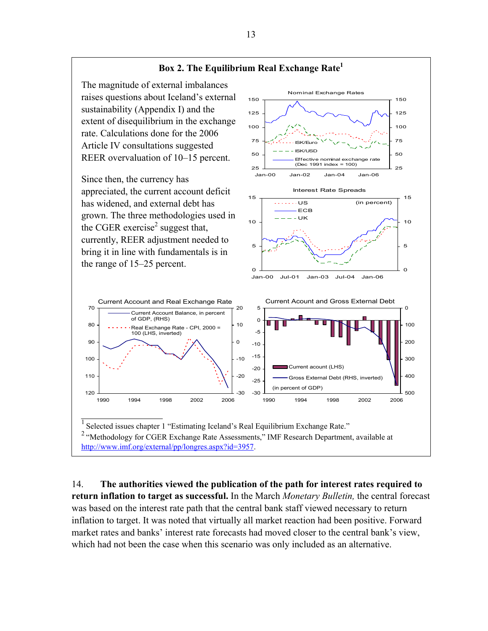

14. **The authorities viewed the publication of the path for interest rates required to return inflation to target as successful.** In the March *Monetary Bulletin,* the central forecast was based on the interest rate path that the central bank staff viewed necessary to return inflation to target. It was noted that virtually all market reaction had been positive. Forward market rates and banks' interest rate forecasts had moved closer to the central bank's view, which had not been the case when this scenario was only included as an alternative.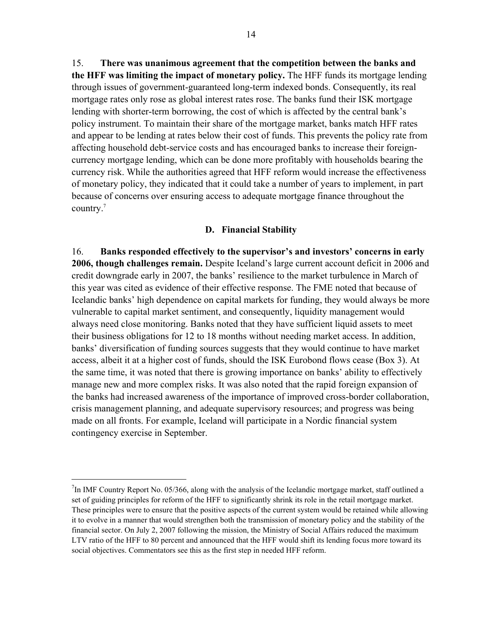15. **There was unanimous agreement that the competition between the banks and the HFF was limiting the impact of monetary policy.** The HFF funds its mortgage lending through issues of government-guaranteed long-term indexed bonds. Consequently, its real mortgage rates only rose as global interest rates rose. The banks fund their ISK mortgage lending with shorter-term borrowing, the cost of which is affected by the central bank's policy instrument. To maintain their share of the mortgage market, banks match HFF rates and appear to be lending at rates below their cost of funds. This prevents the policy rate from affecting household debt-service costs and has encouraged banks to increase their foreigncurrency mortgage lending, which can be done more profitably with households bearing the currency risk. While the authorities agreed that HFF reform would increase the effectiveness of monetary policy, they indicated that it could take a number of years to implement, in part because of concerns over ensuring access to adequate mortgage finance throughout the country.7

### **D. Financial Stability**

16. **Banks responded effectively to the supervisor's and investors' concerns in early 2006, though challenges remain.** Despite Iceland's large current account deficit in 2006 and credit downgrade early in 2007, the banks' resilience to the market turbulence in March of this year was cited as evidence of their effective response. The FME noted that because of Icelandic banks' high dependence on capital markets for funding, they would always be more vulnerable to capital market sentiment, and consequently, liquidity management would always need close monitoring. Banks noted that they have sufficient liquid assets to meet their business obligations for 12 to 18 months without needing market access. In addition, banks' diversification of funding sources suggests that they would continue to have market access, albeit it at a higher cost of funds, should the ISK Eurobond flows cease (Box 3). At the same time, it was noted that there is growing importance on banks' ability to effectively manage new and more complex risks. It was also noted that the rapid foreign expansion of the banks had increased awareness of the importance of improved cross-border collaboration, crisis management planning, and adequate supervisory resources; and progress was being made on all fronts. For example, Iceland will participate in a Nordic financial system contingency exercise in September.

 $\overline{a}$ 

 $7$ In IMF Country Report No. 05/366, along with the analysis of the Icelandic mortgage market, staff outlined a set of guiding principles for reform of the HFF to significantly shrink its role in the retail mortgage market. These principles were to ensure that the positive aspects of the current system would be retained while allowing it to evolve in a manner that would strengthen both the transmission of monetary policy and the stability of the financial sector. On July 2, 2007 following the mission, the Ministry of Social Affairs reduced the maximum LTV ratio of the HFF to 80 percent and announced that the HFF would shift its lending focus more toward its social objectives. Commentators see this as the first step in needed HFF reform.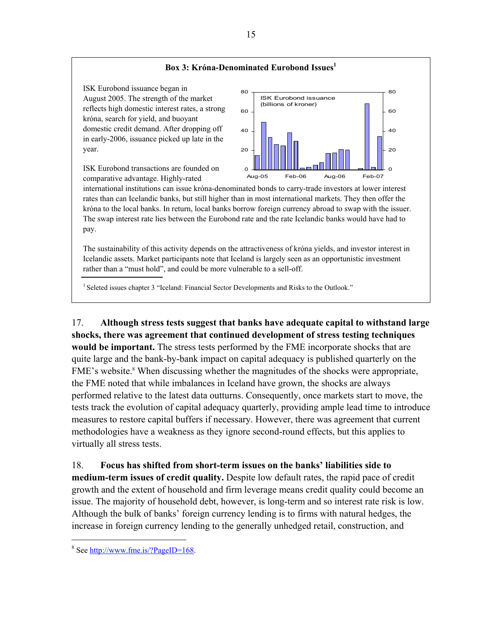

The sustainability of this activity depends on the attractiveness of króna yields, and investor interest in Icelandic assets. Market participants note that Iceland is largely seen as an opportunistic investment rather than a "must hold", and could be more vulnerable to a sell-off.

<sup>1</sup> Seleted issues chapter 3 "Iceland: Financial Sector Developments and Risks to the Outlook."

17. **Although stress tests suggest that banks have adequate capital to withstand large shocks, there was agreement that continued development of stress testing techniques would be important.** The stress tests performed by the FME incorporate shocks that are quite large and the bank-by-bank impact on capital adequacy is published quarterly on the FME's website.<sup>8</sup> When discussing whether the magnitudes of the shocks were appropriate, the FME noted that while imbalances in Iceland have grown, the shocks are always performed relative to the latest data outturns. Consequently, once markets start to move, the tests track the evolution of capital adequacy quarterly, providing ample lead time to introduce measures to restore capital buffers if necessary. However, there was agreement that current methodologies have a weakness as they ignore second-round effects, but this applies to virtually all stress tests.

18. **Focus has shifted from short-term issues on the banks' liabilities side to medium-term issues of credit quality.** Despite low default rates, the rapid pace of credit growth and the extent of household and firm leverage means credit quality could become an issue. The majority of household debt, however, is long-term and so interest rate risk is low. Although the bulk of banks' foreign currency lending is to firms with natural hedges, the increase in foreign currency lending to the generally unhedged retail, construction, and

 $\overline{a}$ 

 $8$  See http://www.fme.is/?PageID=168.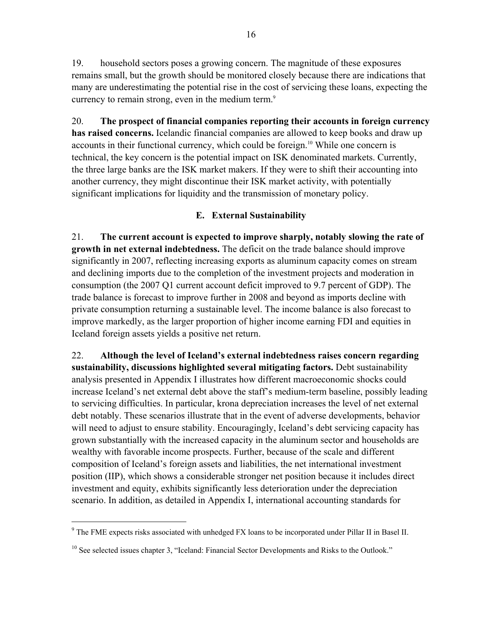19. household sectors poses a growing concern. The magnitude of these exposures remains small, but the growth should be monitored closely because there are indications that many are underestimating the potential rise in the cost of servicing these loans, expecting the currency to remain strong, even in the medium term.<sup>9</sup>

20. **The prospect of financial companies reporting their accounts in foreign currency has raised concerns.** Icelandic financial companies are allowed to keep books and draw up accounts in their functional currency, which could be foreign.<sup>10</sup> While one concern is technical, the key concern is the potential impact on ISK denominated markets. Currently, the three large banks are the ISK market makers. If they were to shift their accounting into another currency, they might discontinue their ISK market activity, with potentially significant implications for liquidity and the transmission of monetary policy.

### **E. External Sustainability**

21. **The current account is expected to improve sharply, notably slowing the rate of growth in net external indebtedness.** The deficit on the trade balance should improve significantly in 2007, reflecting increasing exports as aluminum capacity comes on stream and declining imports due to the completion of the investment projects and moderation in consumption (the 2007 Q1 current account deficit improved to 9.7 percent of GDP). The trade balance is forecast to improve further in 2008 and beyond as imports decline with private consumption returning a sustainable level. The income balance is also forecast to improve markedly, as the larger proportion of higher income earning FDI and equities in Iceland foreign assets yields a positive net return.

22. **Although the level of Iceland's external indebtedness raises concern regarding sustainability, discussions highlighted several mitigating factors.** Debt sustainability analysis presented in Appendix I illustrates how different macroeconomic shocks could increase Iceland's net external debt above the staff's medium-term baseline, possibly leading to servicing difficulties. In particular, krona depreciation increases the level of net external debt notably. These scenarios illustrate that in the event of adverse developments, behavior will need to adjust to ensure stability. Encouragingly, Iceland's debt servicing capacity has grown substantially with the increased capacity in the aluminum sector and households are wealthy with favorable income prospects. Further, because of the scale and different composition of Iceland's foreign assets and liabilities, the net international investment position (IIP), which shows a considerable stronger net position because it includes direct investment and equity, exhibits significantly less deterioration under the depreciation scenario. In addition, as detailed in Appendix I, international accounting standards for

 $\overline{a}$ 

<sup>&</sup>lt;sup>9</sup> The FME expects risks associated with unhedged FX loans to be incorporated under Pillar II in Basel II.

<sup>&</sup>lt;sup>10</sup> See selected issues chapter 3, "Iceland: Financial Sector Developments and Risks to the Outlook."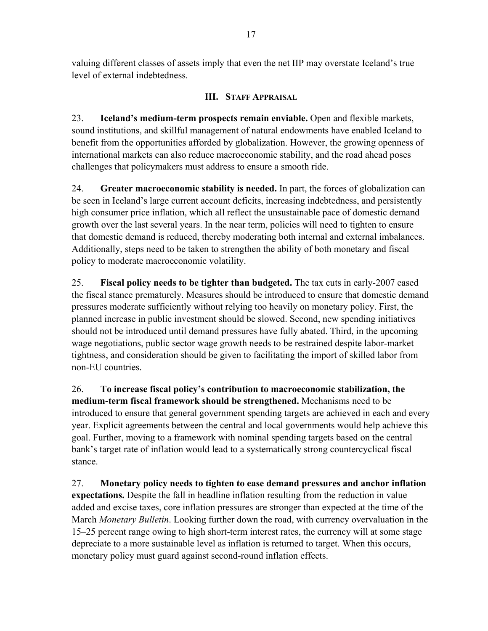valuing different classes of assets imply that even the net IIP may overstate Iceland's true level of external indebtedness.

### **III. STAFF APPRAISAL**

23. **Iceland's medium-term prospects remain enviable.** Open and flexible markets, sound institutions, and skillful management of natural endowments have enabled Iceland to benefit from the opportunities afforded by globalization. However, the growing openness of international markets can also reduce macroeconomic stability, and the road ahead poses challenges that policymakers must address to ensure a smooth ride.

24. **Greater macroeconomic stability is needed.** In part, the forces of globalization can be seen in Iceland's large current account deficits, increasing indebtedness, and persistently high consumer price inflation, which all reflect the unsustainable pace of domestic demand growth over the last several years. In the near term, policies will need to tighten to ensure that domestic demand is reduced, thereby moderating both internal and external imbalances. Additionally, steps need to be taken to strengthen the ability of both monetary and fiscal policy to moderate macroeconomic volatility.

25. **Fiscal policy needs to be tighter than budgeted.** The tax cuts in early-2007 eased the fiscal stance prematurely. Measures should be introduced to ensure that domestic demand pressures moderate sufficiently without relying too heavily on monetary policy. First, the planned increase in public investment should be slowed. Second, new spending initiatives should not be introduced until demand pressures have fully abated. Third, in the upcoming wage negotiations, public sector wage growth needs to be restrained despite labor-market tightness, and consideration should be given to facilitating the import of skilled labor from non-EU countries.

26. **To increase fiscal policy's contribution to macroeconomic stabilization, the medium-term fiscal framework should be strengthened.** Mechanisms need to be introduced to ensure that general government spending targets are achieved in each and every year. Explicit agreements between the central and local governments would help achieve this goal. Further, moving to a framework with nominal spending targets based on the central bank's target rate of inflation would lead to a systematically strong countercyclical fiscal stance.

27. **Monetary policy needs to tighten to ease demand pressures and anchor inflation expectations.** Despite the fall in headline inflation resulting from the reduction in value added and excise taxes, core inflation pressures are stronger than expected at the time of the March *Monetary Bulletin*. Looking further down the road, with currency overvaluation in the 15–25 percent range owing to high short-term interest rates, the currency will at some stage depreciate to a more sustainable level as inflation is returned to target. When this occurs, monetary policy must guard against second-round inflation effects.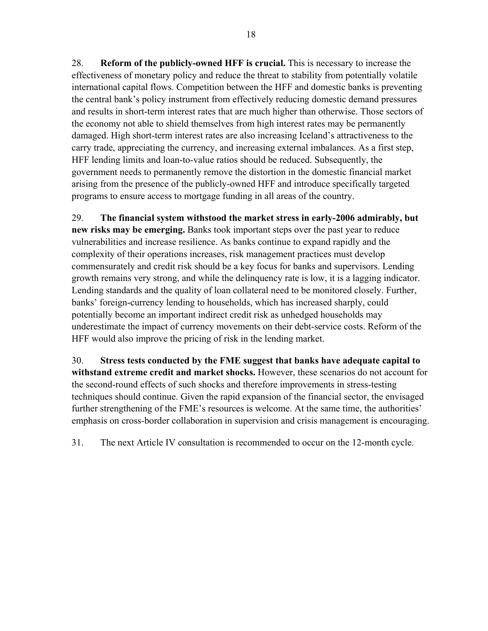28. **Reform of the publicly-owned HFF is crucial.** This is necessary to increase the effectiveness of monetary policy and reduce the threat to stability from potentially volatile international capital flows. Competition between the HFF and domestic banks is preventing the central bank's policy instrument from effectively reducing domestic demand pressures and results in short-term interest rates that are much higher than otherwise. Those sectors of the economy not able to shield themselves from high interest rates may be permanently damaged. High short-term interest rates are also increasing Iceland's attractiveness to the carry trade, appreciating the currency, and increasing external imbalances. As a first step, HFF lending limits and loan-to-value ratios should be reduced. Subsequently, the government needs to permanently remove the distortion in the domestic financial market arising from the presence of the publicly-owned HFF and introduce specifically targeted programs to ensure access to mortgage funding in all areas of the country.

29. **The financial system withstood the market stress in early-2006 admirably, but new risks may be emerging.** Banks took important steps over the past year to reduce vulnerabilities and increase resilience. As banks continue to expand rapidly and the complexity of their operations increases, risk management practices must develop commensurately and credit risk should be a key focus for banks and supervisors. Lending growth remains very strong, and while the delinquency rate is low, it is a lagging indicator. Lending standards and the quality of loan collateral need to be monitored closely. Further, banks' foreign-currency lending to households, which has increased sharply, could potentially become an important indirect credit risk as unhedged households may underestimate the impact of currency movements on their debt-service costs. Reform of the HFF would also improve the pricing of risk in the lending market.

30. **Stress tests conducted by the FME suggest that banks have adequate capital to withstand extreme credit and market shocks.** However, these scenarios do not account for the second-round effects of such shocks and therefore improvements in stress-testing techniques should continue. Given the rapid expansion of the financial sector, the envisaged further strengthening of the FME's resources is welcome. At the same time, the authorities' emphasis on cross-border collaboration in supervision and crisis management is encouraging.

31. The next Article IV consultation is recommended to occur on the 12-month cycle.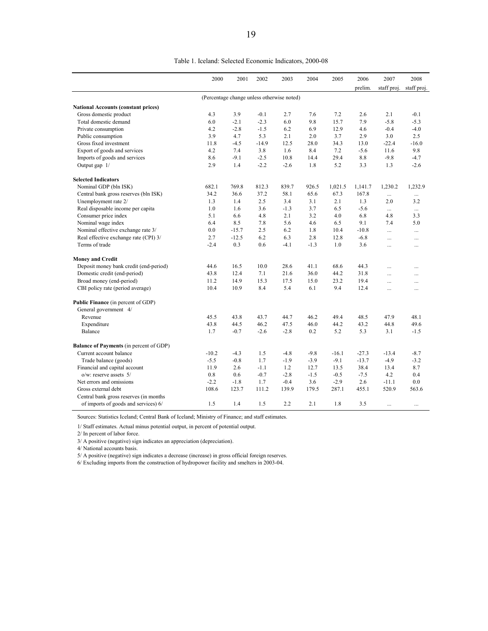| Table 1. Iceland: Selected Economic Indicators, 2000-08 |  |  |
|---------------------------------------------------------|--|--|
|                                                         |  |  |

|                                                | 2000    | 2001    | 2002    | 2003                                       | 2004   | 2005    | 2006    | 2007        | 2008        |
|------------------------------------------------|---------|---------|---------|--------------------------------------------|--------|---------|---------|-------------|-------------|
|                                                |         |         |         |                                            |        |         | prelim. | staff proj. | staff proj. |
|                                                |         |         |         | (Percentage change unless otherwise noted) |        |         |         |             |             |
| <b>National Accounts (constant prices)</b>     |         |         |         |                                            |        |         |         |             |             |
| Gross domestic product                         | 4.3     | 3.9     | $-0.1$  | 2.7                                        | 7.6    | 7.2     | 2.6     | 2.1         | $-0.1$      |
| Total domestic demand                          | 6.0     | $-2.1$  | $-2.3$  | 6.0                                        | 9.8    | 15.7    | 7.9     | $-5.8$      | $-5.3$      |
| Private consumption                            | 4.2     | $-2.8$  | $-1.5$  | 6.2                                        | 6.9    | 12.9    | 4.6     | $-0.4$      | $-4.0$      |
| Public consumption                             | 3.9     | 4.7     | 5.3     | 2.1                                        | 2.0    | 3.7     | 2.9     | 3.0         | 2.5         |
| Gross fixed investment                         | 11.8    | $-4.5$  | $-14.9$ | 12.5                                       | 28.0   | 34.3    | 13.0    | $-22.4$     | $-16.0$     |
| Export of goods and services                   | 4.2     | 7.4     | 3.8     | 1.6                                        | 8.4    | 7.2     | $-5.6$  | 11.6        | 9.8         |
| Imports of goods and services                  | 8.6     | $-9.1$  | $-2.5$  | 10.8                                       | 14.4   | 29.4    | 8.8     | $-9.8$      | $-4.7$      |
| Output gap 1/                                  | 2.9     | 1.4     | $-2.2$  | $-2.6$                                     | 1.8    | 5.2     | 3.3     | 1.3         | $-2.6$      |
| <b>Selected Indicators</b>                     |         |         |         |                                            |        |         |         |             |             |
| Nominal GDP (bln ISK)                          | 682.1   | 769.8   | 812.3   | 839.7                                      | 926.5  | 1,021.5 | 1,141.7 | 1,230.2     | 1,232.9     |
| Central bank gross reserves (bln ISK)          | 34.2    | 36.6    | 37.2    | 58.1                                       | 65.6   | 67.3    | 167.8   | $\cdots$    |             |
| Unemployment rate 2/                           | 1.3     | 1.4     | 2.5     | 3.4                                        | 3.1    | 2.1     | 1.3     | 2.0         | 3.2         |
| Real disposable income per capita              | 1.0     | 1.6     | 3.6     | $-1.3$                                     | 3.7    | 6.5     | $-5.6$  | $\cdots$    | $\cdots$    |
| Consumer price index                           | 5.1     | 6.6     | 4.8     | 2.1                                        | 3.2    | 4.0     | 6.8     | 4.8         | 3.3         |
| Nominal wage index                             | 6.4     | 8.5     | 7.8     | 5.6                                        | 4.6    | 6.5     | 9.1     | 7.4         | 5.0         |
| Nominal effective exchange rate 3/             | 0.0     | $-15.7$ | 2.5     | 6.2                                        | 1.8    | 10.4    | $-10.8$ | $\ddotsc$   | $\ddotsc$   |
| Real effective exchange rate (CPI) 3/          | 2.7     | $-12.5$ | 6.2     | 6.3                                        | 2.8    | 12.8    | $-6.8$  | $\cdots$    | $\cdots$    |
| Terms of trade                                 | $-2.4$  | 0.3     | 0.6     | $-4.1$                                     | $-1.3$ | 1.0     | 3.6     | $\dddotsc$  | $\cdots$    |
| <b>Money and Credit</b>                        |         |         |         |                                            |        |         |         |             |             |
| Deposit money bank credit (end-period)         | 44.6    | 16.5    | 10.0    | 28.6                                       | 41.1   | 68.6    | 44.3    | $\ddotsc$   | $\ddotsc$   |
| Domestic credit (end-period)                   | 43.8    | 12.4    | 7.1     | 21.6                                       | 36.0   | 44.2    | 31.8    | .           | .           |
| Broad money (end-period)                       | 11.2    | 14.9    | 15.3    | 17.5                                       | 15.0   | 23.2    | 19.4    | $\cdots$    | $\cdots$    |
| CBI policy rate (period average)               | 10.4    | 10.9    | 8.4     | 5.4                                        | 6.1    | 9.4     | 12.4    | $\ddotsc$   | .           |
| Public Finance (in percent of GDP)             |         |         |         |                                            |        |         |         |             |             |
| General government 4/                          |         |         |         |                                            |        |         |         |             |             |
| Revenue                                        | 45.5    | 43.8    | 43.7    | 44.7                                       | 46.2   | 49.4    | 48.5    | 47.9        | 48.1        |
| Expenditure                                    | 43.8    | 44.5    | 46.2    | 47.5                                       | 46.0   | 44.2    | 43.2    | 44.8        | 49.6        |
| Balance                                        | 1.7     | $-0.7$  | $-2.6$  | $-2.8$                                     | 0.2    | 5.2     | 5.3     | 3.1         | $-1.5$      |
| <b>Balance of Payments (in percent of GDP)</b> |         |         |         |                                            |        |         |         |             |             |
| Current account balance                        | $-10.2$ | $-4.3$  | 1.5     | $-4.8$                                     | $-9.8$ | $-16.1$ | $-27.3$ | $-13.4$     | $-8.7$      |
| Trade balance (goods)                          | $-5.5$  | $-0.8$  | 1.7     | $-1.9$                                     | $-3.9$ | $-9.1$  | $-13.7$ | $-4.9$      | $-3.2$      |
| Financial and capital account                  | 11.9    | 2.6     | $-1.1$  | 1.2                                        | 12.7   | 13.5    | 38.4    | 13.4        | 8.7         |
| $o/w$ : reserve assets $5/$                    | 0.8     | 0.6     | $-0.7$  | $-2.8$                                     | $-1.5$ | $-0.5$  | $-7.5$  | 4.2         | 0.4         |
| Net errors and omissions                       | $-2.2$  | $-1.8$  | 1.7     | $-0.4$                                     | 3.6    | $-2.9$  | 2.6     | $-11.1$     | 0.0         |
| Gross external debt                            | 108.6   | 123.7   | 111.2   | 139.9                                      | 179.5  | 287.1   | 455.1   | 520.9       | 563.6       |
| Central bank gross reserves (in months)        |         |         |         |                                            |        |         |         |             |             |
| of imports of goods and services) 6/           | 1.5     | 1.4     | 1.5     | 2.2                                        | 2.1    | 1.8     | 3.5     | $\cdots$    | $\cdots$    |

Sources: Statistics Iceland; Central Bank of Iceland; Ministry of Finance; and staff estimates.

1/ Staff estimates. Actual minus potential output, in percent of potential output.

2/ In percent of labor force.

3/ A positive (negative) sign indicates an appreciation (depreciation).

4/ National accounts basis.

5/ A positive (negative) sign indicates a decrease (increase) in gross official foreign reserves.

6/ Excluding imports from the construction of hydropower facility and smelters in 2003-04.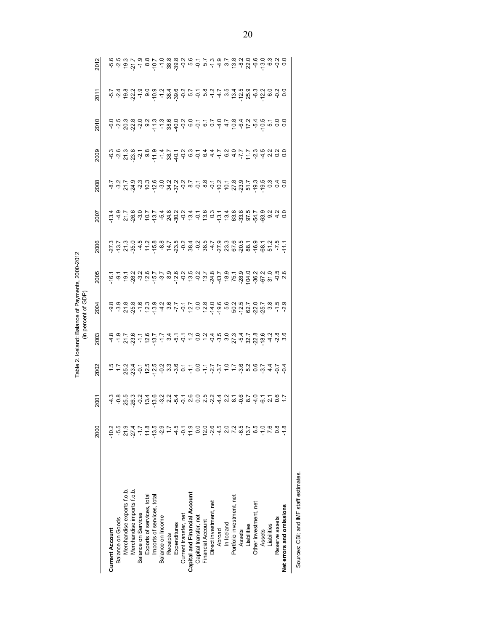|                                        |               |                                                                                                                 |      |                                                                                                                              | Table 2. Iceland: Balance of Payments, 2000-2012<br>(in percent of GDP) |                                                         |      |      |                                                                                                  |      |      |      |      |
|----------------------------------------|---------------|-----------------------------------------------------------------------------------------------------------------|------|------------------------------------------------------------------------------------------------------------------------------|-------------------------------------------------------------------------|---------------------------------------------------------|------|------|--------------------------------------------------------------------------------------------------|------|------|------|------|
|                                        | 2000          | <b>2001</b>                                                                                                     | 2002 | 2003                                                                                                                         | 2004                                                                    | 2005                                                    | 2006 | 2007 | 2008                                                                                             | 2009 | 2010 | 2011 | 2012 |
| <b>Current Account</b>                 |               |                                                                                                                 |      |                                                                                                                              |                                                                         |                                                         |      |      |                                                                                                  |      |      |      |      |
| Balance on Goods                       | က်            |                                                                                                                 |      |                                                                                                                              |                                                                         |                                                         |      |      |                                                                                                  |      |      |      |      |
| Merchandise exports f.o.b.             | 21.9          | a a m co d a co d a a co d a d a d a d a d a d a c c<br>a d m co d a co d d a c a d d a d a d a d d a d d d c c |      | a a i i a i a ji i 4 i i 4 o i 6 i 4 i 6 u 7 i 8 b 6 d 6 i 8<br>a a i 7 d i 6 ji i 4 i i 4 o i 6 i 4 i 6 u 7 i 8 m 6 i 8 m 6 |                                                                         | e a a grad de cras de dia de la de la grad de la de dia |      |      | a ur a un criu x p d a d a d criu d a d d d d<br>a ur a un criu x p d a d a d criu d a d d d d d |      |      |      |      |
| Merchandise imports f.o.b.             | $-27.4$       |                                                                                                                 |      |                                                                                                                              |                                                                         |                                                         |      |      |                                                                                                  |      |      |      |      |
| Balance on Services                    |               |                                                                                                                 |      |                                                                                                                              |                                                                         |                                                         |      |      |                                                                                                  |      |      |      |      |
| Exports of services, total             | 11.8          |                                                                                                                 |      |                                                                                                                              |                                                                         |                                                         |      |      |                                                                                                  |      |      |      |      |
| Imports of services, total             | $-13.5$       |                                                                                                                 |      |                                                                                                                              |                                                                         |                                                         |      |      |                                                                                                  |      |      |      |      |
| Balance on Income                      | $-2.9$        |                                                                                                                 |      |                                                                                                                              |                                                                         |                                                         |      |      |                                                                                                  |      |      |      |      |
| Receipts                               |               |                                                                                                                 |      |                                                                                                                              |                                                                         |                                                         |      |      |                                                                                                  |      |      |      |      |
| Expenditures                           | 4.5           |                                                                                                                 |      |                                                                                                                              |                                                                         |                                                         |      |      |                                                                                                  |      |      |      |      |
| Current transfer, net                  | Ş             |                                                                                                                 |      |                                                                                                                              |                                                                         |                                                         |      |      |                                                                                                  |      |      |      |      |
| Capital and Financial Account          | <u>ှ</u>      |                                                                                                                 |      |                                                                                                                              |                                                                         |                                                         |      |      |                                                                                                  |      |      |      |      |
| Capital transfer, net                  | $\frac{0}{0}$ |                                                                                                                 |      |                                                                                                                              |                                                                         |                                                         |      |      |                                                                                                  |      |      |      |      |
| Financial Account                      | 12.0          |                                                                                                                 |      |                                                                                                                              |                                                                         |                                                         |      |      |                                                                                                  |      |      |      |      |
| Direct investment, net                 | $-2.6$        |                                                                                                                 |      |                                                                                                                              |                                                                         |                                                         |      |      |                                                                                                  |      |      |      |      |
| Abroad                                 |               |                                                                                                                 |      |                                                                                                                              |                                                                         |                                                         |      |      |                                                                                                  |      |      |      |      |
| In Iceland                             |               |                                                                                                                 |      |                                                                                                                              |                                                                         |                                                         |      |      |                                                                                                  |      |      |      |      |
| Portfolio investment, net              |               |                                                                                                                 |      |                                                                                                                              |                                                                         |                                                         |      |      |                                                                                                  |      |      |      |      |
| Assets                                 | -6.5          |                                                                                                                 |      |                                                                                                                              |                                                                         |                                                         |      |      |                                                                                                  |      |      |      |      |
| Liabilities                            | 13.7          |                                                                                                                 |      |                                                                                                                              |                                                                         |                                                         |      |      |                                                                                                  |      |      |      |      |
| Other investment, net                  |               |                                                                                                                 |      |                                                                                                                              |                                                                         |                                                         |      |      |                                                                                                  |      |      |      |      |
| Assets                                 | $\frac{0}{1}$ |                                                                                                                 |      |                                                                                                                              |                                                                         |                                                         |      |      |                                                                                                  |      |      |      |      |
| Liabilities                            | 7.6           |                                                                                                                 |      |                                                                                                                              |                                                                         |                                                         |      |      |                                                                                                  |      |      |      |      |
| Reserve assets                         |               |                                                                                                                 |      |                                                                                                                              |                                                                         |                                                         |      |      |                                                                                                  |      |      |      |      |
| Net errors and omissions               |               |                                                                                                                 |      |                                                                                                                              |                                                                         |                                                         |      |      |                                                                                                  |      |      |      |      |
| Sources: CBI; and IMF staff estimates. |               |                                                                                                                 |      |                                                                                                                              |                                                                         |                                                         |      |      |                                                                                                  |      |      |      |      |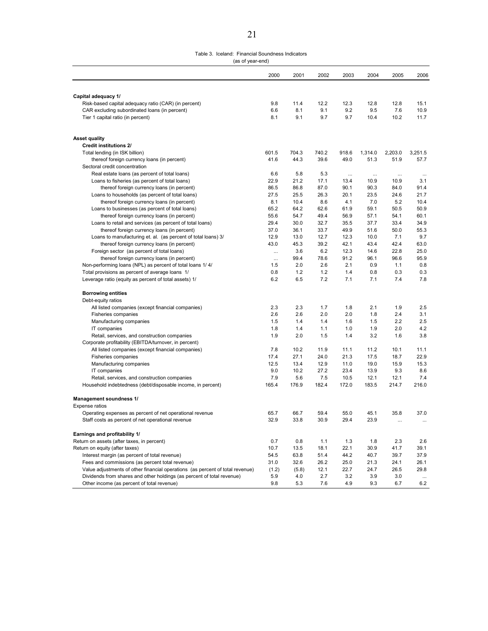#### Table 3. Iceland: Financial Soundness Indicators (as of year-end)

|                                                                                    | 2000       | 2001       | 2002       | 2003       | 2004        | 2005        | 2006         |
|------------------------------------------------------------------------------------|------------|------------|------------|------------|-------------|-------------|--------------|
|                                                                                    |            |            |            |            |             |             |              |
| Capital adequacy 1/                                                                |            |            |            |            |             |             |              |
| Risk-based capital adequacy ratio (CAR) (in percent)                               | 9.8        | 11.4       | 12.2       | 12.3       | 12.8        | 12.8        | 15.1         |
| CAR excluding subordinated loans (in percent)<br>Tier 1 capital ratio (in percent) | 6.6<br>8.1 | 8.1<br>9.1 | 9.1<br>9.7 | 9.2<br>9.7 | 9.5<br>10.4 | 7.6<br>10.2 | 10.9<br>11.7 |
|                                                                                    |            |            |            |            |             |             |              |
| <b>Asset quality</b>                                                               |            |            |            |            |             |             |              |
| <b>Credit institutions 2/</b>                                                      |            |            |            |            |             |             |              |
| Total lending (in ISK billion)                                                     | 601.5      | 704.3      | 740.2      | 918.6      | 1,314.0     | 2,203.0     | 3,251.5      |
| thereof foreign currency loans (in percent)                                        | 41.6       | 44.3       | 39.6       | 49.0       | 51.3        | 51.9        | 57.7         |
| Sectoral credit concentration                                                      |            |            |            |            |             |             |              |
| Real estate loans (as percent of total loans)                                      | 6.6        | 5.8        | 5.3        | $\ldots$   | $\ddotsc$   | $\cdots$    | $\cdots$     |
| Loans to fisheries (as percent of total loans)                                     | 22.9       | 21.2       | 17.1       | 13.4       | 10.9        | 10.9        | 3.1          |
| thereof foreign currency loans (in percent)                                        | 86.5       | 86.8       | 87.0       | 90.1       | 90.3        | 84.0        | 91.4         |
| Loans to households (as percent of total loans)                                    | 27.5       | 25.5       | 26.3       | 20.1       | 23.5        | 24.6        | 21.7         |
| thereof foreign currency loans (in percent)                                        | 8.1        | 10.4       | 8.6        | 4.1        | 7.0         | 5.2         | 10.4         |
| Loans to businesses (as percent of total loans)                                    | 65.2       | 64.2       | 62.6       | 61.9       | 59.1        | 50.5        | 50.9         |
| thereof foreign currency loans (in percent)                                        | 55.6       | 54.7       | 49.4       | 56.9       | 57.1        | 54.1        | 60.1         |
| Loans to retail and services (as percent of total loans)                           | 29.4       | 30.0       | 32.7       | 35.5       | 37.7        | 33.4        | 34.9         |
| thereof foreign currency loans (in percent)                                        | 37.0       | 36.1       | 33.7       | 49.9       | 51.6        | 50.0        | 55.3         |
| Loans to manufacturing et. al. (as percent of total loans) 3/                      | 12.9       | 13.0       | 12.7       | 12.3       | 10.0        | 7.1         | 9.7          |
| thereof foreign currency loans (in percent)                                        | 43.0       | 45.3       | 39.2       | 42.1       | 43.4        | 42.4        | 63.0         |
| Foreign sector (as percent of total loans)                                         | $\cdots$   | 3.6        | 6.2        | 12.3       | 14.6        | 22.8        | 25.0         |
| thereof foreign currency loans (in percent)                                        | $\cdots$   | 99.4       | 78.6       | 91.2       | 96.1        | 96.6        | 95.9         |
| Non-performing loans (NPL) as percent of total loans 1/4/                          | 1.5        | 2.0        | 2.6        | 2.1        | 0.9         | 1.1         | 0.8          |
| Total provisions as percent of average loans 1/                                    | 0.8        | 1.2        | 1.2        | 1.4        | 0.8         | 0.3         | 0.3          |
| Leverage ratio (equity as percent of total assets) 1/                              | 6.2        | 6.5        | 7.2        | 7.1        | 7.1         | 7.4         | 7.8          |
| <b>Borrowing entities</b>                                                          |            |            |            |            |             |             |              |
| Debt-equity ratios                                                                 |            |            |            |            |             |             |              |
| All listed companies (except financial companies)                                  | 2.3        | 2.3        | 1.7        | 1.8        | 2.1         | 1.9         | 2.5          |
| Fisheries companies                                                                | 2.6        | 2.6        | 2.0        | 2.0        | 1.8         | 2.4         | 3.1          |
| Manufacturing companies                                                            | 1.5        | 1.4        | 1.4        | 1.6        | 1.5         | 2.2         | 2.5          |
| IT companies                                                                       | 1.8        | 1.4        | 1.1        | 1.0        | 1.9         | 2.0         | 4.2          |
| Retail, services, and construction companies                                       | 1.9        | 2.0        | 1.5        | 1.4        | 3.2         | 1.6         | 3.8          |
| Corporate profitability (EBITDA/turnover, in percent)                              |            |            |            |            |             |             |              |
| All listed companies (except financial companies)                                  | 7.8        | 10.2       | 11.9       | 11.1       | 11.2        | 10.1        | 11.1         |
| Fisheries companies                                                                | 17.4       | 27.1       | 24.0       | 21.3       | 17.5        | 18.7        | 22.9         |
| Manufacturing companies                                                            | 12.5       | 13.4       | 12.9       | 11.0       | 19.0        | 15.9        | 15.3         |
| IT companies                                                                       | 9.0        | 10.2       | 27.2       | 23.4       | 13.9        | 9.3         | 8.6          |
| Retail, services, and construction companies                                       | 7.9        | 5.6        | 7.5        | 10.5       | 12.1        | 12.1        | 7.4          |
| Household indebtedness (debt/disposable income, in percent)                        | 165.4      | 176.9      | 182.4      | 172.0      | 183.5       | 214.7       | 216.0        |
| Management soundness 1/                                                            |            |            |            |            |             |             |              |
| <b>Expense ratios</b>                                                              |            |            |            |            |             |             |              |
| Operating expenses as percent of net operational revenue                           | 65.7       | 66.7       | 59.4       | 55.0       | 45.1        | 35.8        | 37.0         |
| Staff costs as percent of net operational revenue                                  | 32.9       | 33.8       | 30.9       | 29.4       | 23.9        | $\cdots$    | $\cdots$     |
| Earnings and profitability 1/                                                      |            |            |            |            |             |             |              |
| Return on assets (after taxes, in percent)                                         | 0.7        | 0.8        | 1.1        | 1.3        | 1.8         | 2.3         | 2.6          |
| Return on equity (after taxes)                                                     | 10.7       | 13.5       | 18.1       | 22.1       | 30.9        | 41.7        | 39.1         |
| Interest margin (as percent of total revenue)                                      | 54.5       | 63.8       | 51.4       | 44.2       | 40.7        | 39.7        | 37.9         |
| Fees and commissions (as percent total revenue)                                    | 31.0       | 32.6       | 26.2       | 25.0       | 21.3        | 24.1        | 26.1         |
| Value adjustments of other financial operations (as percent of total revenue)      | (1.2)      | (5.8)      | 12.1       | 22.7       | 24.7        | 26.5        | 29.8         |
| Dividends from shares and other holdings (as percent of total revenue)             | 5.9        | 4.0        | 2.7        | 3.2        | 3.9         | 3.0         | $\cdots$     |
| Other income (as percent of total revenue)                                         | 9.8        | 5.3        | 7.6        | 4.9        | 9.3         | 6.7         | 6.2          |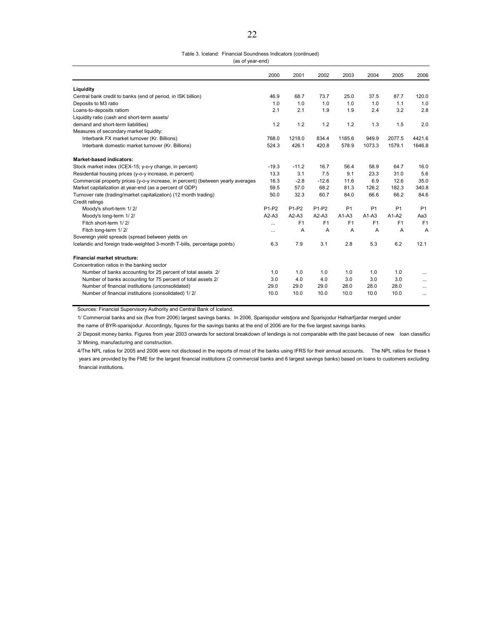|                  | Table 3. Iceland: Financial Soundness Indicators (continued) |
|------------------|--------------------------------------------------------------|
| (as of year-end) |                                                              |

|                                                                                  | 2000              | 2001              | 2002              | 2003           | 2004           | 2005           | 2006           |
|----------------------------------------------------------------------------------|-------------------|-------------------|-------------------|----------------|----------------|----------------|----------------|
| Liquidity                                                                        |                   |                   |                   |                |                |                |                |
| Central bank credit to banks (end of period, in ISK billion)                     | 46.9              | 68.7              | 73.7              | 25.0           | 37.5           | 87.7           | 120.0          |
| Deposits to M3 ratio                                                             | 1.0               | 1.0               | 1.0               | 1.0            | 1.0            | 1.1            | 1.0            |
| Loans-to-deposits ratiom                                                         | 2.1               | 2.1               | 1.9               | 1.9            | 2.4            | 3.2            | 2.8            |
| Liquidity ratio (cash and short-term assets/                                     |                   |                   |                   |                |                |                |                |
| demand and short-term liabilities)                                               | 1.2               | 1.2               | 1.2               | 1.2            | 1.3            | 1.5            | 2.0            |
| Measures of secondary market liquidity:                                          |                   |                   |                   |                |                |                |                |
| Interbank FX market turnover (Kr. Billions)                                      | 768.0             | 1218.0            | 834.4             | 1185.6         | 949.9          | 2077.5         | 4421.6         |
| Interbank domestic market turnover (Kr. Billions)                                | 524.3             | 426.1             | 420.8             | 578.9          | 1073.3         | 1579.1         | 1646.8         |
| <b>Market-based indicators:</b>                                                  |                   |                   |                   |                |                |                |                |
| Stock market index (ICEX-15; y-o-y change, in percent)                           | $-19.3$           | $-11.2$           | 16.7              | 56.4           | 58.9           | 64.7           | 16.0           |
| Residential housing prices (y-o-y increase, in percent)                          | 13.3              | 3.1               | 7.5               | 9.1            | 23.3           | 31.0           | 5.6            |
| Commercial property prices (y-o-y increase, in percent) (between yearly averages | 16.3              | $-2.8$            | $-12.6$           | 11.6           | 6.9            | 12.6           | 35.0           |
| Market capitalization at year-end (as a percent of GDP)                          | 59.5              | 57.0              | 68.2              | 81.3           | 126.2          | 182.3          | 340.8          |
| Turnover rate (trading/market capitalization) (12 month trading)                 | 50.0              | 32.3              | 60.7              | 84.0           | 66.6           | 66.2           | 84.6           |
| Credit ratings                                                                   |                   |                   |                   |                |                |                |                |
| Moody's short-term 1/2/                                                          | P <sub>1-P2</sub> | P <sub>1-P2</sub> | P <sub>1-P2</sub> | P <sub>1</sub> | P <sub>1</sub> | P <sub>1</sub> | P <sub>1</sub> |
| Moody's long-term 1/2/                                                           | $A2-A3$           | $A2-A3$           | $A2-A3$           | $A1-A3$        | $A1-A3$        | $A1-A2$        | Aa3            |
| Fitch short-term 1/2/                                                            |                   | F1                | F <sub>1</sub>    | F1             | F <sub>1</sub> | F1             | F <sub>1</sub> |
| Fitch long-term 1/2/                                                             |                   | A                 | A                 | A              | A              | A              | $\overline{A}$ |
| Sovereign yield spreads (spread between yields on                                |                   |                   |                   |                |                |                |                |
| Icelandic and foreign trade-weighted 3-month T-bills, percentage points)         | 6.3               | 7.9               | 3.1               | 2.8            | 5.3            | 6.2            | 12.1           |
| Financial market structure:                                                      |                   |                   |                   |                |                |                |                |
| Concentration ratios in the banking sector                                       |                   |                   |                   |                |                |                |                |
| Number of banks accounting for 25 percent of total assets 2/                     | 1.0               | 1.0               | 1.0               | 1.0            | 1.0            | 1.0            |                |
| Number of banks accounting for 75 percent of total assets 2/                     | 3.0               | 4.0               | 4.0               | 3.0            | 3.0            | 3.0            |                |
| Number of financial institutions (unconsolidated)                                | 29.0              | 29.0              | 29.0              | 28.0           | 28.0           | 28.0           | $\cdots$       |
| Number of financial institutions (consolidated) 1/2/                             | 10.0              | 10.0              | 10.0              | 10.0           | 10.0           | 10.0           | $\cdots$       |

Sources: Financial Supervisory Authority and Central Bank of Iceland.

1/ Commercial banks and six (five from 2006) largest savings banks. In 2006, Sparisjodur velstjora and Sparisjodur Hafnarfjardar merged under

the name of BYR-sparisjodur. Accordingly, figures for the savings banks at the end of 2006 are for the five largest savings banks.

 2/ Deposit money banks. Figures from year 2003 onwards for sectoral breakdown of lendings is not comparable with the past because of new loan classifica 3/ Mining, manufacturing and construction.

4/The NPL ratios for 2005 and 2006 were not disclosed in the reports of most of the banks using IFRS for their annual accounts. The NPL ratios for these tv years are provided by the FME for the largest financial institutions (2 commercial banks and 6 largest savings banks) based on loans to customers excluding financial institutions.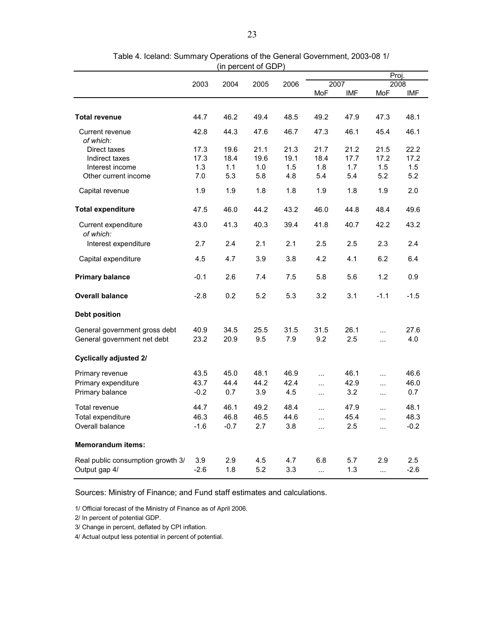|                                   |        |        |      |      |                       |      | Proj.                  |        |
|-----------------------------------|--------|--------|------|------|-----------------------|------|------------------------|--------|
|                                   | 2003   | 2004   | 2005 | 2006 |                       | 2007 |                        | 2008   |
|                                   |        |        |      |      | MoF                   | IMF  | MoF                    | IMF    |
|                                   |        |        |      |      |                       |      |                        |        |
| <b>Total revenue</b>              | 44.7   | 46.2   | 49.4 | 48.5 | 49.2                  | 47.9 | 47.3                   | 48.1   |
| Current revenue                   | 42.8   | 44.3   | 47.6 | 46.7 | 47.3                  | 46.1 | 45.4                   | 46.1   |
| of which:                         |        |        |      |      |                       |      |                        |        |
| Direct taxes                      | 17.3   | 19.6   | 21.1 | 21.3 | 21.7                  | 21.2 | 21.5                   | 22.2   |
| Indirect taxes                    | 17.3   | 18.4   | 19.6 | 19.1 | 18.4                  | 17.7 | 17.2                   | 17.2   |
| Interest income                   | 1.3    | 1.1    | 1.0  | 1.5  | 1.8                   | 1.7  | 1.5                    | 1.5    |
| Other current income              | 7.0    | 5.3    | 5.8  | 4.8  | 5.4                   | 5.4  | 5.2                    | 5.2    |
| Capital revenue                   | 1.9    | 1.9    | 1.8  | 1.8  | 1.9                   | 1.8  | 1.9                    | 2.0    |
| <b>Total expenditure</b>          | 47.5   | 46.0   | 44.2 | 43.2 | 46.0                  | 44.8 | 48.4                   | 49.6   |
| Current expenditure<br>of which:  | 43.0   | 41.3   | 40.3 | 39.4 | 41.8                  | 40.7 | 42.2                   | 43.2   |
| Interest expenditure              | 2.7    | 2.4    | 2.1  | 2.1  | 2.5                   | 2.5  | 2.3                    | 2.4    |
| Capital expenditure               | 4.5    | 4.7    | 3.9  | 3.8  | 4.2                   | 4.1  | 6.2                    | 6.4    |
| <b>Primary balance</b>            | $-0.1$ | 2.6    | 7.4  | 7.5  | 5.8                   | 5.6  | 1.2                    | 0.9    |
| <b>Overall balance</b>            | $-2.8$ | 0.2    | 5.2  | 5.3  | 3.2                   | 3.1  | $-1.1$                 | $-1.5$ |
| <b>Debt position</b>              |        |        |      |      |                       |      |                        |        |
| General government gross debt     | 40.9   | 34.5   | 25.5 | 31.5 | 31.5                  | 26.1 | $\ddotsc$              | 27.6   |
| General government net debt       | 23.2   | 20.9   | 9.5  | 7.9  | 9.2                   | 2.5  | $\ddotsc$              | 4.0    |
| <b>Cyclically adjusted 2/</b>     |        |        |      |      |                       |      |                        |        |
| Primary revenue                   | 43.5   | 45.0   | 48.1 | 46.9 | $\ddotsc$             | 46.1 | $\ddotsc$              | 46.6   |
| Primary expenditure               | 43.7   | 44.4   | 44.2 | 42.4 | $\ddotsc$             | 42.9 | $\ddotsc$              | 46.0   |
| Primary balance                   | $-0.2$ | 0.7    | 3.9  | 4.5  | $\ddotsc$             | 3.2  | $\cdots$               | 0.7    |
| Total revenue                     | 44.7   | 46.1   | 49.2 | 48.4 | $\ddotsc$             | 47.9 | $\ddotsc$              | 48.1   |
| Total expenditure                 | 46.3   | 46.8   | 46.5 | 44.6 |                       | 45.4 |                        | 48.3   |
| Overall balance                   | $-1.6$ | $-0.7$ | 2.7  | 3.8  | $\ddotsc$<br>$\cdots$ | 2.5  | $\ddotsc$<br>$\ddotsc$ | $-0.2$ |
| <b>Memorandum items:</b>          |        |        |      |      |                       |      |                        |        |
| Real public consumption growth 3/ | 3.9    | 2.9    | 4.5  | 4.7  | 6.8                   | 5.7  | 2.9                    | 2.5    |
| Output gap 4/                     | $-2.6$ | 1.8    | 5.2  | 3.3  | $\ddotsc$             | 1.3  | $\ddotsc$              | $-2.6$ |

### Table 4. Iceland: Summary Operations of the General Government, 2003-08 1/ (in percent of GDP)

Sources: Ministry of Finance; and Fund staff estimates and calculations.

1/ Official forecast of the Ministry of Finance as of April 2006.

2/ In percent of potential GDP.

3/ Change in percent, deflated by CPI inflation.

4/ Actual output less potential in percent of potential.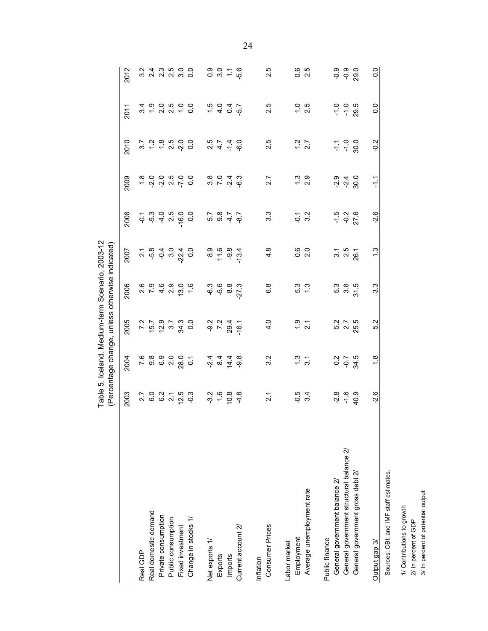|                                          |                              |                             |                         | able 5. Iceland. Medium-term Scenario, 2003-12<br>(Percentage change, unless otherwise indicated) |                         |                                    |                                     |                            |                 |                                  |
|------------------------------------------|------------------------------|-----------------------------|-------------------------|---------------------------------------------------------------------------------------------------|-------------------------|------------------------------------|-------------------------------------|----------------------------|-----------------|----------------------------------|
|                                          | 2003                         | 2004                        | 2005                    | 2006                                                                                              | 2007                    | 2008                               | 2009                                | 2010                       | 2011            | 2012                             |
| Real GDP                                 |                              | 7.6                         | $\overline{7}$ .2       |                                                                                                   |                         |                                    |                                     | 5.7                        | 3.4             | ო                                |
| Real domestic demand                     |                              |                             | 15.7                    |                                                                                                   |                         |                                    |                                     |                            |                 |                                  |
| Private consumption                      |                              |                             |                         |                                                                                                   |                         |                                    |                                     |                            |                 |                                  |
| Public consumption                       |                              |                             |                         |                                                                                                   |                         |                                    |                                     |                            |                 |                                  |
| Fixed investment                         | 2 5 9 2 7 9<br>2 9 9 9 9 9 1 | 8 9 9 9 9<br>8 9 9 9 9      | 2 3 4<br>5 4 3          |                                                                                                   |                         | $-16.0$                            | t vi vi vi vi o<br>Si vi vi vi vi o |                            | $-2000000$      | 4 m to 0<br>4 m to 0<br>4 m to 0 |
| Change in stocks 1/                      | $-0.3$                       | $\overline{c}$              | $\overline{0}$ .        |                                                                                                   |                         | 0.0                                |                                     |                            |                 |                                  |
| Net exports 1/                           |                              |                             |                         |                                                                                                   |                         |                                    |                                     |                            |                 | 0.9                              |
| Exports                                  | $7, 6, 8$<br>$7, 6, 8$       | $\frac{4}{9}$ $\frac{4}{9}$ | 9 7 8<br>9 7 9<br>9 7 9 | ှ6<br>- 5 မှ                                                                                      | $80000$<br>$7000$       | $7807$<br>$787$                    | $3004$<br>$74$                      | $20779$<br>$2179$<br>$479$ | $7400$<br>$790$ | 3.0                              |
| Imports                                  |                              | 14.4                        |                         | 8.8                                                                                               |                         |                                    |                                     |                            |                 | Ξ                                |
| Current account 2/                       | 4.8                          | $-9.8$                      | $-16.1$                 | $-27.3$                                                                                           | $-13.4$                 | $-8.7$                             | .ვ<br>გ                             |                            |                 | $-5.6$                           |
| Inflation                                |                              |                             |                         |                                                                                                   |                         |                                    |                                     |                            |                 |                                  |
| <b>Consumer Prices</b>                   | $\overline{2.1}$             | 3.2                         | 4.0                     | 6.8                                                                                               | 4.8                     | $3.\overline{3}$                   | 2.7                                 | 2.5                        | 2.5             | 2.5                              |
| abor market                              |                              |                             |                         |                                                                                                   |                         |                                    |                                     |                            |                 |                                  |
| Employment                               | $-0.5$                       | $\frac{3}{5}$ 5.1           | $\frac{9}{2}$ 7         | 5.3<br>1.3                                                                                        | 0.0<br>0. 2             | $-0.7$<br>3.2                      | $\frac{3}{2}$ 9                     | $1.2$<br>2.7               | $1.5$<br>2.5    | $0.\overline{6}$                 |
| Average unemployment rate                | 3.4                          |                             |                         |                                                                                                   |                         |                                    |                                     |                            |                 | 2.5                              |
| Public finance                           |                              |                             |                         |                                                                                                   |                         |                                    |                                     |                            |                 |                                  |
| General government balance 2/            | $-2.8$                       |                             |                         |                                                                                                   |                         |                                    |                                     |                            | $-1.0$          | ၀.၀<br>၁                         |
| General government structural balance 2/ | $-1.6$                       | 0 0 1 5<br>0 0 10<br>0 0 10 | 5.7<br>2.7              | ი ფ<br>თა                                                                                         | $3.1$<br>$2.5$<br>$2.5$ | $\frac{5}{1}$ 9 2<br>$\frac{2}{5}$ | 이 4<br>이 어                          | 7.900                      | $-1.0$          | $-0.9$                           |
| General government gross debt 2/         | 40.9                         |                             | 25.5                    | 31.5                                                                                              |                         |                                    | 30.0                                |                            | 29.5            | 29.0                             |
| Output gap 3/                            | $-2.6$                       | 1.8                         | Ņ<br>ເດ່                | $3.\overline{3}$                                                                                  | $\frac{3}{2}$           | $-2.6$                             | 두                                   | $-0.2$                     | $\frac{0}{0}$   | $\overline{0}$ .                 |
| Sources: CBI; and IMF staff estimates.   |                              |                             |                         |                                                                                                   |                         |                                    |                                     |                            |                 |                                  |
| 1/ Contributions to growth               |                              |                             |                         |                                                                                                   |                         |                                    |                                     |                            |                 |                                  |
| 2/ In percent of GDP                     |                              |                             |                         |                                                                                                   |                         |                                    |                                     |                            |                 |                                  |
| 3/ In percent of potential output        |                              |                             |                         |                                                                                                   |                         |                                    |                                     |                            |                 |                                  |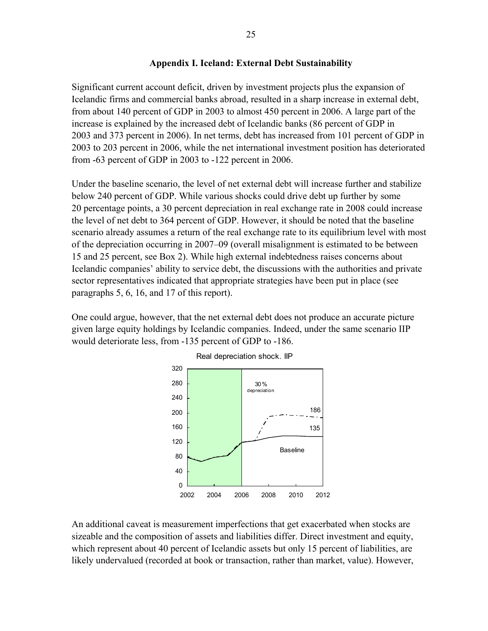### **Appendix I. Iceland: External Debt Sustainability**

Significant current account deficit, driven by investment projects plus the expansion of Icelandic firms and commercial banks abroad, resulted in a sharp increase in external debt, from about 140 percent of GDP in 2003 to almost 450 percent in 2006. A large part of the increase is explained by the increased debt of Icelandic banks (86 percent of GDP in 2003 and 373 percent in 2006). In net terms, debt has increased from 101 percent of GDP in 2003 to 203 percent in 2006, while the net international investment position has deteriorated from -63 percent of GDP in 2003 to -122 percent in 2006.

Under the baseline scenario, the level of net external debt will increase further and stabilize below 240 percent of GDP. While various shocks could drive debt up further by some 20 percentage points, a 30 percent depreciation in real exchange rate in 2008 could increase the level of net debt to 364 percent of GDP. However, it should be noted that the baseline scenario already assumes a return of the real exchange rate to its equilibrium level with most of the depreciation occurring in 2007–09 (overall misalignment is estimated to be between 15 and 25 percent, see Box 2). While high external indebtedness raises concerns about Icelandic companies' ability to service debt, the discussions with the authorities and private sector representatives indicated that appropriate strategies have been put in place (see paragraphs 5, 6, 16, and 17 of this report).

One could argue, however, that the net external debt does not produce an accurate picture given large equity holdings by Icelandic companies. Indeed, under the same scenario IIP would deteriorate less, from -135 percent of GDP to -186.



An additional caveat is measurement imperfections that get exacerbated when stocks are sizeable and the composition of assets and liabilities differ. Direct investment and equity, which represent about 40 percent of Icelandic assets but only 15 percent of liabilities, are likely undervalued (recorded at book or transaction, rather than market, value). However,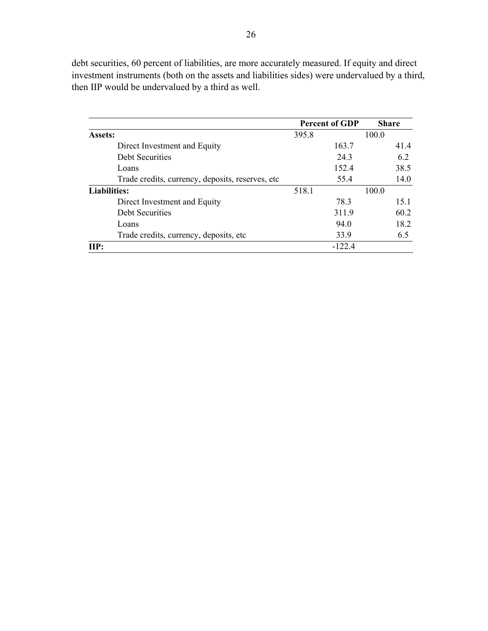debt securities, 60 percent of liabilities, are more accurately measured. If equity and direct investment instruments (both on the assets and liabilities sides) were undervalued by a third, then IIP would be undervalued by a third as well.

|                                                   | <b>Percent of GDP</b> | <b>Share</b> |
|---------------------------------------------------|-----------------------|--------------|
| <b>Assets:</b>                                    | 395.8                 | 100.0        |
| Direct Investment and Equity                      | 163.7                 | 41.4         |
| <b>Debt Securities</b>                            | 24.3                  | 62           |
| Loans                                             | 152.4                 | 38.5         |
| Trade credits, currency, deposits, reserves, etc. | 55.4                  | 14.0         |
| <b>Liabilities:</b><br>518.1                      |                       | 100.0        |
| Direct Investment and Equity                      | 78.3                  | 15.1         |
| <b>Debt Securities</b>                            | 311.9                 | 60.2         |
| Loans                                             | 94.0                  | 18.2         |
| Trade credits, currency, deposits, etc.           | 33.9                  | 6.5          |
| $\mathbf{HP}$                                     | $-122.4$              |              |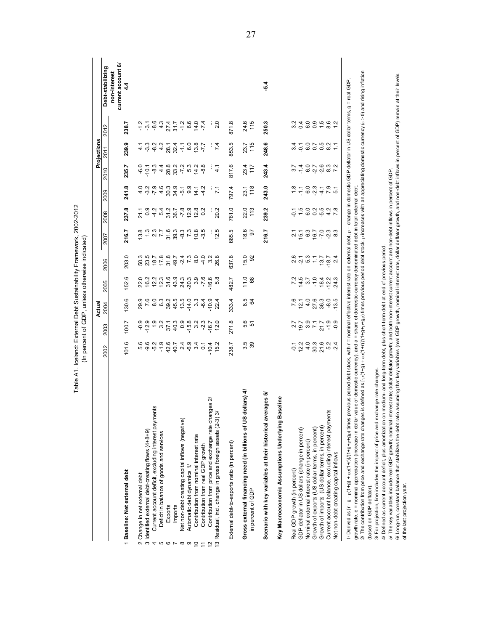|                                                                                                                                                                                                                                                                                                                                                                                                                                                                                                                                                                                                                                                                                                        |       |                                    | Actual                                   |                           |                                                                                                                                             |       |                                            |                                                          |                                    | Projections        |             |                                    |
|--------------------------------------------------------------------------------------------------------------------------------------------------------------------------------------------------------------------------------------------------------------------------------------------------------------------------------------------------------------------------------------------------------------------------------------------------------------------------------------------------------------------------------------------------------------------------------------------------------------------------------------------------------------------------------------------------------|-------|------------------------------------|------------------------------------------|---------------------------|---------------------------------------------------------------------------------------------------------------------------------------------|-------|--------------------------------------------|----------------------------------------------------------|------------------------------------|--------------------|-------------|------------------------------------|
|                                                                                                                                                                                                                                                                                                                                                                                                                                                                                                                                                                                                                                                                                                        | 2002  | 2003                               | 2004                                     | 2005                      | 2006                                                                                                                                        | 2007  | 2008                                       | 2009                                                     | 2010                               | 2011               | 2012        | Debt-stabilizing                   |
| 1 Baseline: Net external debt                                                                                                                                                                                                                                                                                                                                                                                                                                                                                                                                                                                                                                                                          | 101.6 | 100.7                              | 130.6                                    | 152.6                     | 203.0                                                                                                                                       | 216.7 | 237.8                                      | 241.8                                                    | 235.7                              | 239.9              | 238.7       | current account 6/<br>non-interest |
|                                                                                                                                                                                                                                                                                                                                                                                                                                                                                                                                                                                                                                                                                                        |       |                                    |                                          |                           |                                                                                                                                             |       |                                            |                                                          |                                    |                    |             |                                    |
| Change in net external debt<br>$\sim$                                                                                                                                                                                                                                                                                                                                                                                                                                                                                                                                                                                                                                                                  |       |                                    |                                          |                           | 50.3                                                                                                                                        |       | $7.949707$<br>$7.949707$                   |                                                          | $-6.0$                             |                    |             |                                    |
| 3 Identified external debt-creating flows (4+8+9)                                                                                                                                                                                                                                                                                                                                                                                                                                                                                                                                                                                                                                                      |       |                                    |                                          |                           | 23.5                                                                                                                                        |       |                                            |                                                          | $-10.1$                            |                    |             |                                    |
| Current account deficit, excluding interest payments<br>4                                                                                                                                                                                                                                                                                                                                                                                                                                                                                                                                                                                                                                              |       |                                    |                                          |                           | 18.7                                                                                                                                        |       |                                            |                                                          | $-8.3$                             |                    |             |                                    |
| Deficit in balance of goods and services                                                                                                                                                                                                                                                                                                                                                                                                                                                                                                                                                                                                                                                               |       |                                    |                                          |                           |                                                                                                                                             |       |                                            |                                                          |                                    |                    |             |                                    |
| Exports                                                                                                                                                                                                                                                                                                                                                                                                                                                                                                                                                                                                                                                                                                |       |                                    |                                          |                           |                                                                                                                                             |       |                                            |                                                          |                                    |                    |             |                                    |
| Imports<br><b>50 L</b>                                                                                                                                                                                                                                                                                                                                                                                                                                                                                                                                                                                                                                                                                 |       |                                    | 39.2<br>45.5                             |                           | $7.8$<br>31.8<br>49.7                                                                                                                       |       |                                            |                                                          |                                    |                    |             |                                    |
| Net non-debt creating capital inflows (negative)                                                                                                                                                                                                                                                                                                                                                                                                                                                                                                                                                                                                                                                       |       |                                    |                                          |                           |                                                                                                                                             |       | $-7.8$                                     | a ci o ci o ci o ci o ci ci<br>a ci o ci o ci o ci ci ci | 4 8 9 9 7 9 4 9<br>4 8 9 7 9 9 4 9 | 4.0948976877       |             |                                    |
| Automatic debt dynamics 1/<br>∞ ာ                                                                                                                                                                                                                                                                                                                                                                                                                                                                                                                                                                                                                                                                      |       |                                    |                                          |                           |                                                                                                                                             |       |                                            |                                                          |                                    |                    |             |                                    |
| Contribution from nominal interest rate<br>$\tilde{c}$                                                                                                                                                                                                                                                                                                                                                                                                                                                                                                                                                                                                                                                 |       |                                    | $79.0940$<br>$79.0940$<br>$79.09$        | 3.9                       | $\frac{1}{2}$ $\frac{1}{2}$ $\frac{1}{2}$ $\frac{1}{2}$ $\frac{1}{2}$ $\frac{1}{2}$ $\frac{1}{2}$ $\frac{1}{2}$ $\frac{1}{2}$ $\frac{1}{2}$ |       | 2<br>12 12 13<br>12 13 14 14 15 16 17 18 1 |                                                          |                                    |                    |             |                                    |
| Contribution from real GDP growth<br>$\tilde{t}$                                                                                                                                                                                                                                                                                                                                                                                                                                                                                                                                                                                                                                                       |       |                                    |                                          |                           |                                                                                                                                             |       |                                            |                                                          |                                    |                    |             |                                    |
| Contribution from price and exchange rate changes 2/<br>$\frac{2}{3}$                                                                                                                                                                                                                                                                                                                                                                                                                                                                                                                                                                                                                                  |       |                                    |                                          | $-16.8$                   |                                                                                                                                             |       |                                            |                                                          |                                    |                    |             |                                    |
| ল<br>13 Residual, incl. change in gross foreign assets (2-3)                                                                                                                                                                                                                                                                                                                                                                                                                                                                                                                                                                                                                                           |       |                                    | 22.4                                     |                           | 26.8                                                                                                                                        | 12.5  | 20.2                                       | $\mathbf{r}$                                             | 4.1                                | 74                 | 2.0         |                                    |
| External debt-to-exports ratio (in percent)                                                                                                                                                                                                                                                                                                                                                                                                                                                                                                                                                                                                                                                            | 238.7 | 271.8                              | 333.4                                    | 482.7                     | 637.8                                                                                                                                       | 685.5 | 761.0                                      | 797.4                                                    | 817.6                              | 853.5              | 871.8       |                                    |
| dollars) 4/<br>Gross external financing need (in billions of US                                                                                                                                                                                                                                                                                                                                                                                                                                                                                                                                                                                                                                        |       |                                    | 8.5                                      | 11.0                      | 15.0                                                                                                                                        | 18.6  |                                            |                                                          |                                    |                    |             |                                    |
| in percent of GDP                                                                                                                                                                                                                                                                                                                                                                                                                                                                                                                                                                                                                                                                                      | 3.5   | 5.6<br>51                          | S4                                       | 89                        | 92                                                                                                                                          | 5     | 22.0                                       | 23.1                                                     | 23.4<br>117                        | 23.7<br>115        | 24.6<br>115 |                                    |
| erages 5/<br>Scenario with key variables at their historical av                                                                                                                                                                                                                                                                                                                                                                                                                                                                                                                                                                                                                                        |       |                                    |                                          |                           |                                                                                                                                             | 216.7 | 239.2                                      | 243.0                                                    | 243.4                              | 248.6              | 250.3       | -54                                |
| Key Macroeconomic Assumptions Underlying Baseline                                                                                                                                                                                                                                                                                                                                                                                                                                                                                                                                                                                                                                                      |       |                                    |                                          |                           |                                                                                                                                             |       |                                            |                                                          |                                    |                    |             |                                    |
| Real GDP growth (in percent)                                                                                                                                                                                                                                                                                                                                                                                                                                                                                                                                                                                                                                                                           |       |                                    | 7.6                                      |                           |                                                                                                                                             |       | $\overline{5}$                             |                                                          |                                    |                    |             |                                    |
| GDP deflator in US dollars (change in percent)                                                                                                                                                                                                                                                                                                                                                                                                                                                                                                                                                                                                                                                         |       |                                    |                                          |                           |                                                                                                                                             |       |                                            |                                                          |                                    |                    |             |                                    |
| Nominal external interest rate (in percent)                                                                                                                                                                                                                                                                                                                                                                                                                                                                                                                                                                                                                                                            |       | 2 1 9 1 1 1 9 9<br>2 1 9 1 1 1 9 9 | $\frac{21}{4}$ 36.3<br>$\frac{4}{2}$ 7.8 | $74.5$<br>$75.7$          | $259$<br>$259$<br>$757$<br>$257$                                                                                                            |       | $\frac{1.5}{6.0}$                          | e i je o je v je v<br>Tine slite je i                    | マ 4 0 7 6 3 2 7<br>マ 4 0 7 6 3 2 7 | $34$ 7 0<br>$-6$ 0 | 24095812    |                                    |
| Growth of exports (US dollar terms, in percent)                                                                                                                                                                                                                                                                                                                                                                                                                                                                                                                                                                                                                                                        |       |                                    |                                          |                           |                                                                                                                                             |       |                                            |                                                          |                                    |                    |             |                                    |
| Growth of imports (US dollar terms, in percent)                                                                                                                                                                                                                                                                                                                                                                                                                                                                                                                                                                                                                                                        |       |                                    |                                          | $-184$<br>$-184$<br>$-12$ |                                                                                                                                             |       | $0.5647$<br>$0.478$                        |                                                          |                                    | 0.582              |             |                                    |
| Current account balance, excluding interest payments                                                                                                                                                                                                                                                                                                                                                                                                                                                                                                                                                                                                                                                   |       |                                    | $-8.5$                                   |                           | $-18.7$                                                                                                                                     |       |                                            |                                                          |                                    |                    |             |                                    |
| Net non-debt creating capital inflows                                                                                                                                                                                                                                                                                                                                                                                                                                                                                                                                                                                                                                                                  |       |                                    |                                          | 24.3                      | $\mathbf{N}$                                                                                                                                |       |                                            |                                                          |                                    |                    |             |                                    |
| 2/ The contribution from price and exchange rate changes is defined as $\lceil p/(1+q)/(1+q)\rceil$ (1+p); (1+p+g+p+g+p+gp) itmes previous period debt stock, pincreases with an appreciating domestic currency ( $\epsilon$ > 0) and rising in<br>previous period debt stock, with r = nominal effective interest rate on external debt, p = change in donnestic GDP deflator in US dollar terms, g = real GDP<br>value of domestic currency), and a = share of domestic-currency denominated debt in total external debt.<br>1/ Derived as $[r - g - p(1 + g) + \frac{c\alpha(1 + r)}{1 + (1 + \alpha + \beta + \beta + \beta)}]$ times<br>growth rate, e = nominal appreciation (increase in dollar |       |                                    |                                          |                           |                                                                                                                                             |       |                                            |                                                          |                                    |                    |             |                                    |
| 3/ For projection, line includes the impact of price and exchange rate changes.<br>(based on GDP deflator).                                                                                                                                                                                                                                                                                                                                                                                                                                                                                                                                                                                            |       |                                    |                                          |                           |                                                                                                                                             |       |                                            |                                                          |                                    |                    |             |                                    |
| 4/ Defined as current account deficit, plus amortization on medium- and long-term debt, plus short-term debt at end of previous period.                                                                                                                                                                                                                                                                                                                                                                                                                                                                                                                                                                |       |                                    |                                          |                           |                                                                                                                                             |       |                                            |                                                          |                                    |                    |             |                                    |
| 5/ The key variables include real GDP growth; nominal interest rate; dollar deflator growth; and both non-interest current account and non-debt inflows in percent of GDP.                                                                                                                                                                                                                                                                                                                                                                                                                                                                                                                             |       |                                    |                                          |                           |                                                                                                                                             |       |                                            |                                                          |                                    |                    |             |                                    |
| io assuming that key variables (real GDP growth, nominal interest rate, dollar deflator growth, and non-debt inflows in percent of GDP) remain at their levels<br>6/ Long-run, constant balance that stabilizes the debt rational                                                                                                                                                                                                                                                                                                                                                                                                                                                                      |       |                                    |                                          |                           |                                                                                                                                             |       |                                            |                                                          |                                    |                    |             |                                    |
| of the last projection year.                                                                                                                                                                                                                                                                                                                                                                                                                                                                                                                                                                                                                                                                           |       |                                    |                                          |                           |                                                                                                                                             |       |                                            |                                                          |                                    |                    |             |                                    |

Table A1. Iceland: External Debt Sustainability Framework, 2002-2012<br>(In percent of GDP, unless otherwise indicated) Table A1. Iceland: External Debt Sustainability Framework, 2002-2012 (In percent of GDP, unless otherwise indicated)

27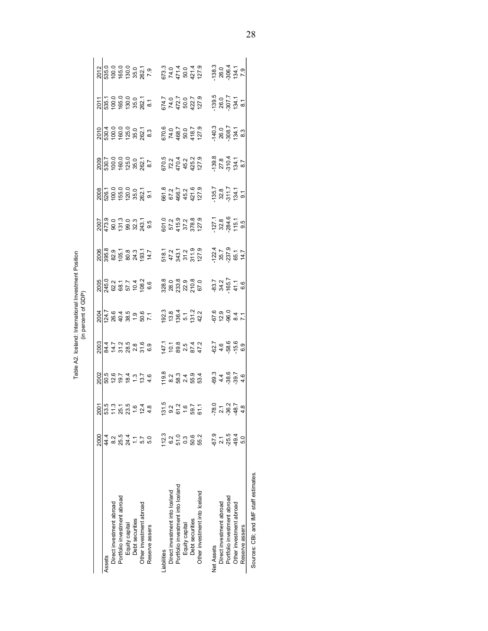|                                       |                                 |                                                                                                                                                                                                                                                                           |                                                                                                                         |                                                                                                                                                 | <br>  11    11    11    11    11    11    11    11    11    11    11    11    11    11    11    11    11    11 |                                            |                                                 |                                                                                                          |                                                                       |                                                                                                                                                                         |                                                                                                                   |                                                         |                                                |
|---------------------------------------|---------------------------------|---------------------------------------------------------------------------------------------------------------------------------------------------------------------------------------------------------------------------------------------------------------------------|-------------------------------------------------------------------------------------------------------------------------|-------------------------------------------------------------------------------------------------------------------------------------------------|----------------------------------------------------------------------------------------------------------------|--------------------------------------------|-------------------------------------------------|----------------------------------------------------------------------------------------------------------|-----------------------------------------------------------------------|-------------------------------------------------------------------------------------------------------------------------------------------------------------------------|-------------------------------------------------------------------------------------------------------------------|---------------------------------------------------------|------------------------------------------------|
|                                       | 2000                            |                                                                                                                                                                                                                                                                           |                                                                                                                         |                                                                                                                                                 |                                                                                                                |                                            |                                                 |                                                                                                          |                                                                       |                                                                                                                                                                         |                                                                                                                   |                                                         |                                                |
| Assets                                | 44.4                            |                                                                                                                                                                                                                                                                           |                                                                                                                         |                                                                                                                                                 |                                                                                                                |                                            |                                                 |                                                                                                          |                                                                       |                                                                                                                                                                         |                                                                                                                   |                                                         |                                                |
| Direct investment abroad              |                                 |                                                                                                                                                                                                                                                                           |                                                                                                                         |                                                                                                                                                 |                                                                                                                |                                            |                                                 |                                                                                                          |                                                                       |                                                                                                                                                                         |                                                                                                                   |                                                         |                                                |
| Portfolio investment abroad           |                                 |                                                                                                                                                                                                                                                                           |                                                                                                                         |                                                                                                                                                 |                                                                                                                |                                            |                                                 |                                                                                                          |                                                                       |                                                                                                                                                                         |                                                                                                                   |                                                         |                                                |
| Equity capital                        | 2541<br>2415<br>250             |                                                                                                                                                                                                                                                                           |                                                                                                                         | $\frac{20}{20}$<br>$\frac{34}{35}$ $\frac{1}{2}$ $\frac{3}{25}$ $\frac{36}{25}$ $\frac{36}{25}$ $\frac{36}{25}$ $\frac{36}{25}$ $\frac{36}{25}$ |                                                                                                                |                                            |                                                 |                                                                                                          |                                                                       |                                                                                                                                                                         |                                                                                                                   |                                                         |                                                |
| Debt securities                       |                                 |                                                                                                                                                                                                                                                                           |                                                                                                                         |                                                                                                                                                 |                                                                                                                |                                            |                                                 |                                                                                                          |                                                                       |                                                                                                                                                                         |                                                                                                                   |                                                         |                                                |
| Other investment abroad               |                                 |                                                                                                                                                                                                                                                                           |                                                                                                                         |                                                                                                                                                 |                                                                                                                |                                            |                                                 |                                                                                                          |                                                                       |                                                                                                                                                                         |                                                                                                                   |                                                         |                                                |
| Reserve assers                        |                                 | $\frac{2007}{255}$<br>$\frac{10}{25}$<br>$\frac{10}{25}$<br>$\frac{10}{25}$<br>$\frac{10}{25}$<br>$\frac{10}{25}$<br>$\frac{10}{25}$<br>$\frac{10}{25}$<br>$\frac{10}{25}$<br>$\frac{10}{25}$<br>$\frac{10}{25}$<br>$\frac{10}{25}$<br>$\frac{10}{25}$<br>$\frac{10}{25}$ |                                                                                                                         |                                                                                                                                                 | $204.789967$<br>$24.789967$                                                                                    |                                            |                                                 | $\frac{2007}{473.9}$<br>$\frac{0.0}{0.00}$ $\frac{0.00}{0.00}$ $\frac{0.00}{0.00}$ $\frac{0.000}{0.000}$ |                                                                       | $\frac{2009}{15000}$<br>$\frac{1}{10000}$<br>$\frac{1}{10000}$<br>$\frac{1}{10000}$<br>$\frac{1}{10000}$<br>$\frac{1}{10000}$<br>$\frac{1}{10000}$<br>$\frac{1}{10000}$ | $\frac{2010}{10000}$<br>$\frac{4}{10000}$<br>$\frac{6000}{10000}$<br>$\frac{6000}{10000}$<br>$\frac{6000}{10000}$ | 2011<br>1851 1861 1862<br>1863 1862 1863 1864           | 2012<br>635.0<br>630.0<br>202.1<br>202.1       |
| Liabilities                           | <b>112.3</b>                    |                                                                                                                                                                                                                                                                           | olo<br>Solo contro de solo de segundo<br>Solo contro de solo de solo de solo de solo de solo de solo de solo de solo de |                                                                                                                                                 | 192.3<br>193.4<br>196.4<br>1942                                                                                | 38.8<br>80.8<br>23.9<br>210.8<br>67.0      | 518.1<br>47.2<br>343.1<br>311.9<br>311.9        |                                                                                                          | 661.8<br>67.2<br>45.2<br>45.2<br>421.6                                | 670.5<br>72.2<br>470.4<br>425.2<br>425.2                                                                                                                                | 670.6<br>74.0<br>468.7<br>418.7<br>418.7                                                                          |                                                         |                                                |
| Direct investment into Iceland        |                                 |                                                                                                                                                                                                                                                                           |                                                                                                                         |                                                                                                                                                 |                                                                                                                |                                            |                                                 |                                                                                                          |                                                                       |                                                                                                                                                                         |                                                                                                                   |                                                         |                                                |
| Portfolio investment into Iceland     |                                 |                                                                                                                                                                                                                                                                           |                                                                                                                         |                                                                                                                                                 |                                                                                                                |                                            |                                                 |                                                                                                          |                                                                       |                                                                                                                                                                         |                                                                                                                   |                                                         |                                                |
| Equity capital                        | 0.2<br>0.3<br>0.5<br>0.8<br>0.8 |                                                                                                                                                                                                                                                                           |                                                                                                                         |                                                                                                                                                 |                                                                                                                |                                            |                                                 | 601.0<br>57.2<br>415.9<br>37.2<br>378.8                                                                  |                                                                       |                                                                                                                                                                         |                                                                                                                   |                                                         |                                                |
| Debt securities                       |                                 |                                                                                                                                                                                                                                                                           |                                                                                                                         |                                                                                                                                                 |                                                                                                                |                                            |                                                 |                                                                                                          |                                                                       |                                                                                                                                                                         |                                                                                                                   |                                                         |                                                |
| Other investment into Iceland         |                                 | $131.5$<br>$9.2$<br>$5.2$<br>$1.6$<br>$5.7$<br>$5.7$                                                                                                                                                                                                                      |                                                                                                                         | $147.1$<br>10.1 89.5<br>20.8 21<br>47.2                                                                                                         |                                                                                                                |                                            |                                                 |                                                                                                          |                                                                       |                                                                                                                                                                         |                                                                                                                   | 674.7<br>74.0<br>472.7<br>422.7<br>427.9                | 673.3<br>74.0<br>471.4<br>421.4<br>427.9       |
| <b>Net Assets</b>                     |                                 |                                                                                                                                                                                                                                                                           |                                                                                                                         |                                                                                                                                                 |                                                                                                                |                                            |                                                 |                                                                                                          |                                                                       |                                                                                                                                                                         |                                                                                                                   |                                                         |                                                |
| Direct investment abroad              |                                 |                                                                                                                                                                                                                                                                           |                                                                                                                         |                                                                                                                                                 |                                                                                                                |                                            |                                                 |                                                                                                          |                                                                       |                                                                                                                                                                         |                                                                                                                   |                                                         |                                                |
| Portfolio investment abroad           | 9<br>67 1 59<br>67 9 4          | 78.0<br>2.1 % 4.8<br>4.8                                                                                                                                                                                                                                                  | $6940004$<br>$480004$                                                                                                   | 216<br>046669<br>046069                                                                                                                         | 67.9<br>62.9<br>62.9<br>8.4                                                                                    | 83.7<br>84.2<br>85.7<br>95.7<br>9.0<br>9.0 | $72.4$<br>$35.7$<br>$337.9$<br>$45.7$<br>$45.7$ | $727.1$<br>$72.8$<br>$72.8$<br>$74.5$<br>$15.5$<br>$9.5$                                                 | $\begin{array}{c} 135.7 \\ 32.8 \\ 371.7 \\ 134.1 \\ 9.1 \end{array}$ | $77.8$<br>$27.8$<br>$510.4$<br>$134.1$<br>$8.7$                                                                                                                         | $140.3$<br>$26.0$<br>$78.7$<br>$28.7$<br>$28.7$<br>$28.3$                                                         | $739.5$<br>$26.0$<br>$26.7$<br>$74.1$<br>$8.1$<br>$8.1$ | $738.3$<br>$26.0$<br>$796.4$<br>$7.9$<br>$7.9$ |
| Other investment abroad               |                                 |                                                                                                                                                                                                                                                                           |                                                                                                                         |                                                                                                                                                 |                                                                                                                |                                            |                                                 |                                                                                                          |                                                                       |                                                                                                                                                                         |                                                                                                                   |                                                         |                                                |
| Reserve assers                        |                                 |                                                                                                                                                                                                                                                                           |                                                                                                                         |                                                                                                                                                 |                                                                                                                |                                            |                                                 |                                                                                                          |                                                                       |                                                                                                                                                                         |                                                                                                                   |                                                         |                                                |
| Sources: CBI; and IMF staff estimates |                                 |                                                                                                                                                                                                                                                                           |                                                                                                                         |                                                                                                                                                 |                                                                                                                |                                            |                                                 |                                                                                                          |                                                                       |                                                                                                                                                                         |                                                                                                                   |                                                         |                                                |

Table A2. Iceland: International Investment Position<br>(in percent of GDP) Table A2. Iceland: International Investment Position (in percent of GDP)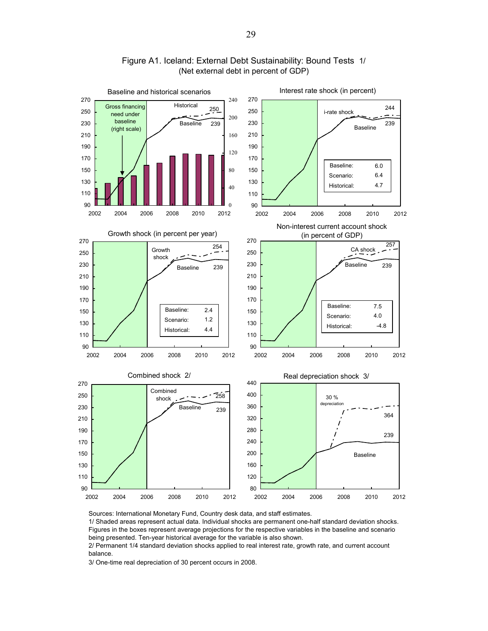

### Figure A1. Iceland: External Debt Sustainability: Bound Tests 1/ (Net external debt in percent of GDP)

Sources: International Monetary Fund, Country desk data, and staff estimates.

1/ Shaded areas represent actual data. Individual shocks are permanent one-half standard deviation shocks. Figures in the boxes represent average projections for the respective variables in the baseline and scenario being presented. Ten-year historical average for the variable is also shown.

2/ Permanent 1/4 standard deviation shocks applied to real interest rate, growth rate, and current account balance.

3/ One-time real depreciation of 30 percent occurs in 2008.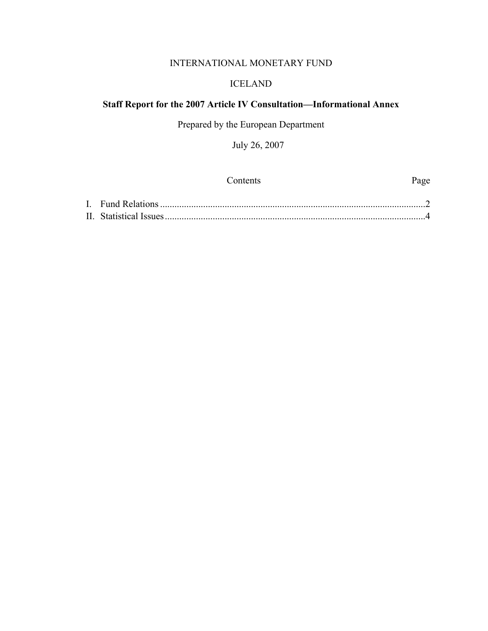## INTERNATIONAL MONETARY FUND

### ICELAND

### **Staff Report for the 2007 Article IV Consultation—Informational Annex**

Prepared by the European Department

July 26, 2007

| <b>Contents</b> | Page |
|-----------------|------|
|                 |      |
|                 |      |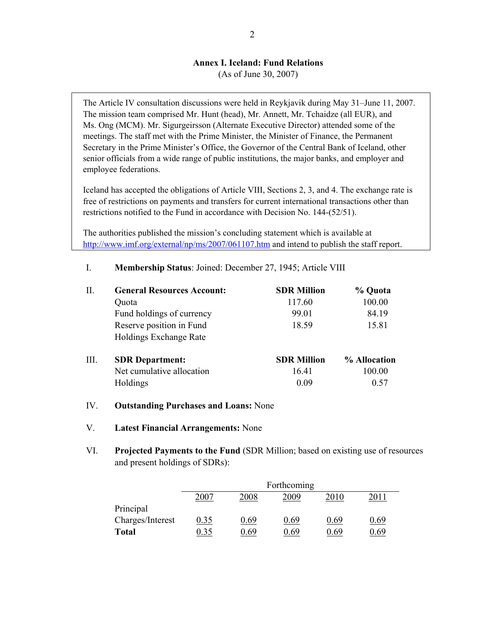### **Annex I. Iceland: Fund Relations**

(As of June 30, 2007)

The Article IV consultation discussions were held in Reykjavik during May 31–June 11, 2007. The mission team comprised Mr. Hunt (head), Mr. Annett, Mr. Tchaidze (all EUR), and Ms. Ong (MCM). Mr. Sigurgeirsson (Alternate Executive Director) attended some of the meetings. The staff met with the Prime Minister, the Minister of Finance, the Permanent Secretary in the Prime Minister's Office, the Governor of the Central Bank of Iceland, other senior officials from a wide range of public institutions, the major banks, and employer and employee federations.

Iceland has accepted the obligations of Article VIII, Sections 2, 3, and 4. The exchange rate is free of restrictions on payments and transfers for current international transactions other than restrictions notified to the Fund in accordance with Decision No. 144-(52/51).

The authorities published the mission's concluding statement which is available at http://www.imf.org/external/np/ms/2007/061107.htm and intend to publish the staff report.

| П.   | <b>General Resources Account:</b> | <b>SDR Million</b> | % Quota      |
|------|-----------------------------------|--------------------|--------------|
|      | Quota                             | 117.60             | 100.00       |
|      | Fund holdings of currency         | 99.01              | 84.19        |
|      | Reserve position in Fund          | 18.59              | 15.81        |
|      | <b>Holdings Exchange Rate</b>     |                    |              |
| III. | <b>SDR</b> Department:            | <b>SDR Million</b> | % Allocation |
|      | Net cumulative allocation         | 16.41              | 100.00       |
|      | Holdings                          | 0.09               | 0.57         |

I. **Membership Status**: Joined: December 27, 1945; Article VIII

- IV. **Outstanding Purchases and Loans:** None
- V. **Latest Financial Arrangements:** None
- VI. **Projected Payments to the Fund** (SDR Million; based on existing use of resources and present holdings of SDRs):

|                  |      |      | Forthcoming |      |      |
|------------------|------|------|-------------|------|------|
|                  | 2007 | 2008 | 2009        | 2010 | 2011 |
| Principal        |      |      |             |      |      |
| Charges/Interest | 0.35 | 0.69 | 0.69        | 0.69 | ).69 |
| <b>Total</b>     | 0.35 | ) 69 | 0.69        | 0.69 | 1.69 |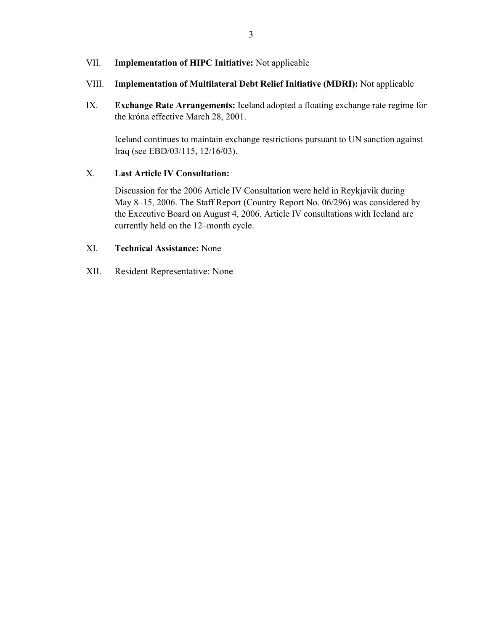### VII. **Implementation of HIPC Initiative:** Not applicable

### VIII. **Implementation of Multilateral Debt Relief Initiative (MDRI):** Not applicable

IX. **Exchange Rate Arrangements:** Iceland adopted a floating exchange rate regime for the króna effective March 28, 2001.

 Iceland continues to maintain exchange restrictions pursuant to UN sanction against Iraq (see EBD/03/115, 12/16/03).

### X. **Last Article IV Consultation:**

Discussion for the 2006 Article IV Consultation were held in Reykjavik during May 8–15, 2006. The Staff Report (Country Report No. 06/296) was considered by the Executive Board on August 4, 2006. Article IV consultations with Iceland are currently held on the 12–month cycle.

### XI. **Technical Assistance:** None

XII. Resident Representative: None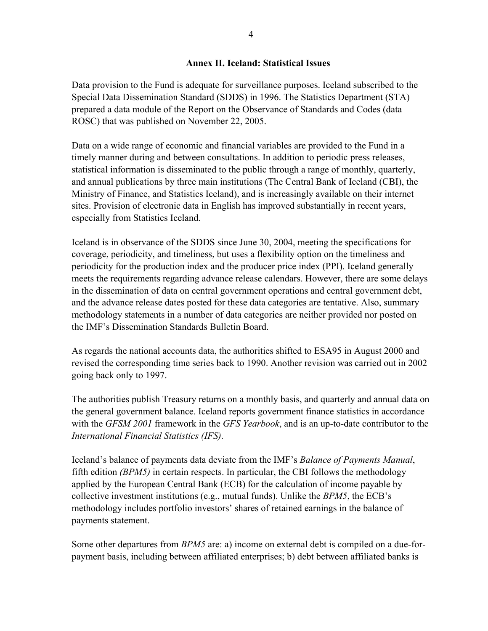### **Annex II. Iceland: Statistical Issues**

Data provision to the Fund is adequate for surveillance purposes. Iceland subscribed to the Special Data Dissemination Standard (SDDS) in 1996. The Statistics Department (STA) prepared a data module of the Report on the Observance of Standards and Codes (data ROSC) that was published on November 22, 2005.

Data on a wide range of economic and financial variables are provided to the Fund in a timely manner during and between consultations. In addition to periodic press releases, statistical information is disseminated to the public through a range of monthly, quarterly, and annual publications by three main institutions (The Central Bank of Iceland (CBI), the Ministry of Finance, and Statistics Iceland), and is increasingly available on their internet sites. Provision of electronic data in English has improved substantially in recent years, especially from Statistics Iceland.

Iceland is in observance of the SDDS since June 30, 2004, meeting the specifications for coverage, periodicity, and timeliness, but uses a flexibility option on the timeliness and periodicity for the production index and the producer price index (PPI). Iceland generally meets the requirements regarding advance release calendars. However, there are some delays in the dissemination of data on central government operations and central government debt, and the advance release dates posted for these data categories are tentative. Also, summary methodology statements in a number of data categories are neither provided nor posted on the IMF's Dissemination Standards Bulletin Board.

As regards the national accounts data, the authorities shifted to ESA95 in August 2000 and revised the corresponding time series back to 1990. Another revision was carried out in 2002 going back only to 1997.

The authorities publish Treasury returns on a monthly basis, and quarterly and annual data on the general government balance. Iceland reports government finance statistics in accordance with the *GFSM 2001* framework in the *GFS Yearbook*, and is an up-to-date contributor to the *International Financial Statistics (IFS)*.

Iceland's balance of payments data deviate from the IMF's *Balance of Payments Manual*, fifth edition *(BPM5)* in certain respects. In particular, the CBI follows the methodology applied by the European Central Bank (ECB) for the calculation of income payable by collective investment institutions (e.g., mutual funds). Unlike the *BPM5*, the ECB's methodology includes portfolio investors' shares of retained earnings in the balance of payments statement.

Some other departures from *BPM5* are: a) income on external debt is compiled on a due-forpayment basis, including between affiliated enterprises; b) debt between affiliated banks is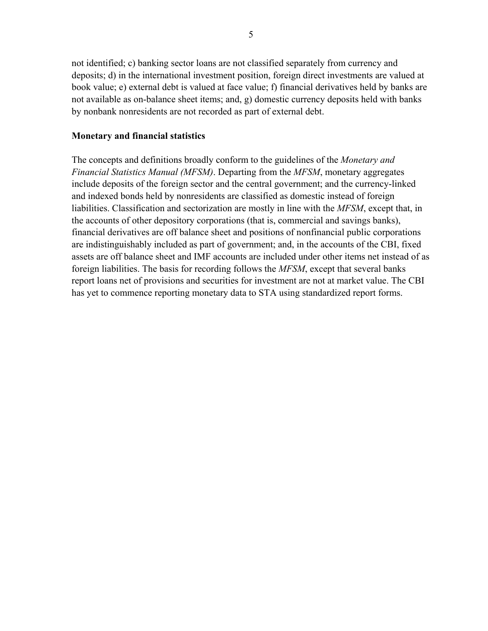not identified; c) banking sector loans are not classified separately from currency and deposits; d) in the international investment position, foreign direct investments are valued at book value; e) external debt is valued at face value; f) financial derivatives held by banks are not available as on-balance sheet items; and, g) domestic currency deposits held with banks by nonbank nonresidents are not recorded as part of external debt.

### **Monetary and financial statistics**

The concepts and definitions broadly conform to the guidelines of the *Monetary and Financial Statistics Manual (MFSM)*. Departing from the *MFSM*, monetary aggregates include deposits of the foreign sector and the central government; and the currency-linked and indexed bonds held by nonresidents are classified as domestic instead of foreign liabilities. Classification and sectorization are mostly in line with the *MFSM*, except that, in the accounts of other depository corporations (that is, commercial and savings banks), financial derivatives are off balance sheet and positions of nonfinancial public corporations are indistinguishably included as part of government; and, in the accounts of the CBI, fixed assets are off balance sheet and IMF accounts are included under other items net instead of as foreign liabilities. The basis for recording follows the *MFSM*, except that several banks report loans net of provisions and securities for investment are not at market value. The CBI has yet to commence reporting monetary data to STA using standardized report forms.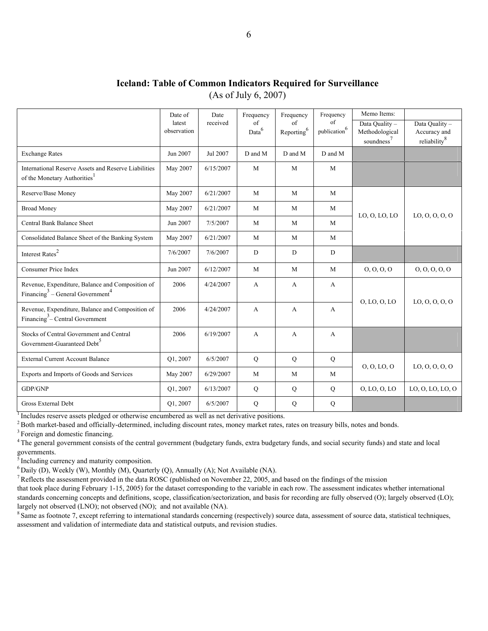|                      | <b>Iceland: Table of Common Indicators Required for Surveillance</b> |
|----------------------|----------------------------------------------------------------------|
| (As of July 6, 2007) |                                                                      |

|                                                                                                              | Date of<br>latest<br>observation | Date<br>received | Frequency<br>of<br>Data <sup>6</sup> | Frequency<br>of<br>$\mbox{Reporting}^6$ | Frequency<br>of<br>$\mbox{publication}^6$ | Memo Items:<br>Data Quality -<br>Methodological<br>soundness <sup>7</sup> | Data Quality -<br>Accuracy and<br>reliability <sup>8</sup> |
|--------------------------------------------------------------------------------------------------------------|----------------------------------|------------------|--------------------------------------|-----------------------------------------|-------------------------------------------|---------------------------------------------------------------------------|------------------------------------------------------------|
| <b>Exchange Rates</b>                                                                                        | Jun 2007                         | Jul 2007         | D and M                              | D and M                                 | D and M                                   |                                                                           |                                                            |
| International Reserve Assets and Reserve Liabilities<br>of the Monetary Authorities <sup>1</sup>             | May 2007                         | 6/15/2007        | M                                    | M                                       | M                                         |                                                                           |                                                            |
| Reserve/Base Money                                                                                           | May 2007                         | 6/21/2007        | M                                    | M                                       | M                                         |                                                                           |                                                            |
| <b>Broad Money</b>                                                                                           | May 2007                         | 6/21/2007        | M                                    | M                                       | M                                         | LO, O, LO, LO                                                             | LO, O, O, O, O                                             |
| Central Bank Balance Sheet                                                                                   | Jun 2007                         | 7/5/2007         | M                                    | M                                       | M                                         |                                                                           |                                                            |
| Consolidated Balance Sheet of the Banking System                                                             | May 2007                         | 6/21/2007        | M                                    | M                                       | M                                         |                                                                           |                                                            |
| Interest $\mathrm{Rates}^2$                                                                                  | 7/6/2007                         | 7/6/2007         | D                                    | D                                       | D                                         |                                                                           |                                                            |
| <b>Consumer Price Index</b>                                                                                  | Jun 2007                         | 6/12/2007        | M                                    | M                                       | M                                         | 0, 0, 0, 0                                                                | 0, 0, 0, 0, 0                                              |
| Revenue, Expenditure, Balance and Composition of<br>Financing <sup>3</sup> – General Government <sup>4</sup> | 2006                             | 4/24/2007        | A                                    | $\mathbf{A}$                            | $\mathbf{A}$                              | O, LO, O, LO                                                              | LO, O, O, O, O                                             |
| Revenue, Expenditure, Balance and Composition of<br>Financing <sup>3</sup> – Central Government              | 2006                             | 4/24/2007        | A                                    | $\mathbf{A}$                            | $\mathbf{A}$                              |                                                                           |                                                            |
| Stocks of Central Government and Central<br>Government-Guaranteed Debt <sup>5</sup>                          | 2006                             | 6/19/2007        | $\mathbf{A}$                         | A                                       | A                                         |                                                                           |                                                            |
| <b>External Current Account Balance</b>                                                                      | Q1, 2007                         | 6/5/2007         | Q                                    | Q                                       | ${\bf Q}$                                 | 0, 0, L0, 0                                                               | LO, 0, 0, 0, 0                                             |
| Exports and Imports of Goods and Services                                                                    | May 2007                         | 6/29/2007        | M                                    | M                                       | M                                         |                                                                           |                                                            |
| GDP/GNP                                                                                                      | O1, 2007                         | 6/13/2007        | Q                                    | Q                                       | Q                                         | O, LO, O, LO                                                              | LO, O, LO, LO, O                                           |
| Gross External Debt                                                                                          | Q1, 2007                         | 6/5/2007         | ${\bf Q}$                            | ${\bf Q}$                               | ${\bf Q}$                                 |                                                                           |                                                            |

Includes reserve assets pledged or otherwise encumbered as well as net derivative positions.<br>
<sup>2</sup> Both market-based and officially-determined, including discount rates, money market rates, rates on treasury bills, notes an

<sup>4</sup> The general government consists of the central government (budgetary funds, extra budgetary funds, and social security funds) and state and local governments.

<sup>5</sup> Including currency and maturity composition.

<sup>6</sup> Daily (D), Weekly (W), Monthly (M), Quarterly (Q), Annually (A); Not Available (NA). <sup>7</sup> Reflects the assessment provided in the data ROSC (published on November 22, 2005, and based on the findings of the mission

that took place during February 1-15, 2005) for the dataset corresponding to the variable in each row. The assessment indicates whether international standards concerning concepts and definitions, scope, classification/sectorization, and basis for recording are fully observed (O); largely observed (LO); largely not observed (LNO); not observed (NO); and not available (NA).<br><sup>8</sup> Same as footnote 7, except referring to international standards concerning (respectively) source data, assessment of source data, statistical techn

assessment and validation of intermediate data and statistical outputs, and revision studies.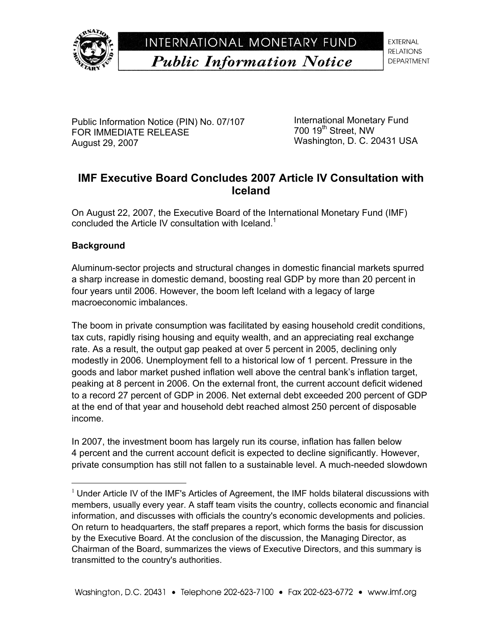

# INTERNATIONAL MONETARY FUND **Public Information Notice**

**EXTERNAL RELATIONS DEPARTMENT** 

Public Information Notice (PIN) No. 07/107 FOR IMMEDIATE RELEASE August 29, 2007

International Monetary Fund 700 19<sup>th</sup> Street, NW Washington, D. C. 20431 USA

# **IMF Executive Board Concludes 2007 Article IV Consultation with Iceland**

On August 22, 2007, the Executive Board of the International Monetary Fund (IMF) concluded the Article IV consultation with Iceland.<sup>1</sup>

### **Background**

 $\overline{a}$ 

Aluminum-sector projects and structural changes in domestic financial markets spurred a sharp increase in domestic demand, boosting real GDP by more than 20 percent in four years until 2006. However, the boom left Iceland with a legacy of large macroeconomic imbalances.

The boom in private consumption was facilitated by easing household credit conditions, tax cuts, rapidly rising housing and equity wealth, and an appreciating real exchange rate. As a result, the output gap peaked at over 5 percent in 2005, declining only modestly in 2006. Unemployment fell to a historical low of 1 percent. Pressure in the goods and labor market pushed inflation well above the central bank's inflation target, peaking at 8 percent in 2006. On the external front, the current account deficit widened to a record 27 percent of GDP in 2006. Net external debt exceeded 200 percent of GDP at the end of that year and household debt reached almost 250 percent of disposable income.

In 2007, the investment boom has largely run its course, inflation has fallen below 4 percent and the current account deficit is expected to decline significantly. However, private consumption has still not fallen to a sustainable level. A much-needed slowdown

 $<sup>1</sup>$  Under Article IV of the IMF's Articles of Agreement, the IMF holds bilateral discussions with</sup> members, usually every year. A staff team visits the country, collects economic and financial information, and discusses with officials the country's economic developments and policies. On return to headquarters, the staff prepares a report, which forms the basis for discussion by the Executive Board. At the conclusion of the discussion, the Managing Director, as Chairman of the Board, summarizes the views of Executive Directors, and this summary is transmitted to the country's authorities.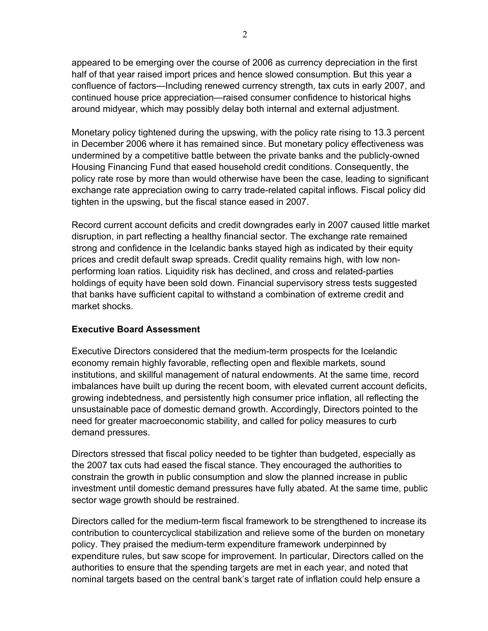appeared to be emerging over the course of 2006 as currency depreciation in the first half of that year raised import prices and hence slowed consumption. But this year a confluence of factors—Including renewed currency strength, tax cuts in early 2007, and continued house price appreciation—raised consumer confidence to historical highs around midyear, which may possibly delay both internal and external adjustment.

Monetary policy tightened during the upswing, with the policy rate rising to 13.3 percent in December 2006 where it has remained since. But monetary policy effectiveness was undermined by a competitive battle between the private banks and the publicly-owned Housing Financing Fund that eased household credit conditions. Consequently, the policy rate rose by more than would otherwise have been the case, leading to significant exchange rate appreciation owing to carry trade-related capital inflows. Fiscal policy did tighten in the upswing, but the fiscal stance eased in 2007.

Record current account deficits and credit downgrades early in 2007 caused little market disruption, in part reflecting a healthy financial sector. The exchange rate remained strong and confidence in the Icelandic banks stayed high as indicated by their equity prices and credit default swap spreads. Credit quality remains high, with low nonperforming loan ratios. Liquidity risk has declined, and cross and related-parties holdings of equity have been sold down. Financial supervisory stress tests suggested that banks have sufficient capital to withstand a combination of extreme credit and market shocks.

### **Executive Board Assessment**

Executive Directors considered that the medium-term prospects for the Icelandic economy remain highly favorable, reflecting open and flexible markets, sound institutions, and skillful management of natural endowments. At the same time, record imbalances have built up during the recent boom, with elevated current account deficits, growing indebtedness, and persistently high consumer price inflation, all reflecting the unsustainable pace of domestic demand growth. Accordingly, Directors pointed to the need for greater macroeconomic stability, and called for policy measures to curb demand pressures.

Directors stressed that fiscal policy needed to be tighter than budgeted, especially as the 2007 tax cuts had eased the fiscal stance. They encouraged the authorities to constrain the growth in public consumption and slow the planned increase in public investment until domestic demand pressures have fully abated. At the same time, public sector wage growth should be restrained.

Directors called for the medium-term fiscal framework to be strengthened to increase its contribution to countercyclical stabilization and relieve some of the burden on monetary policy. They praised the medium-term expenditure framework underpinned by expenditure rules, but saw scope for improvement. In particular, Directors called on the authorities to ensure that the spending targets are met in each year, and noted that nominal targets based on the central bank's target rate of inflation could help ensure a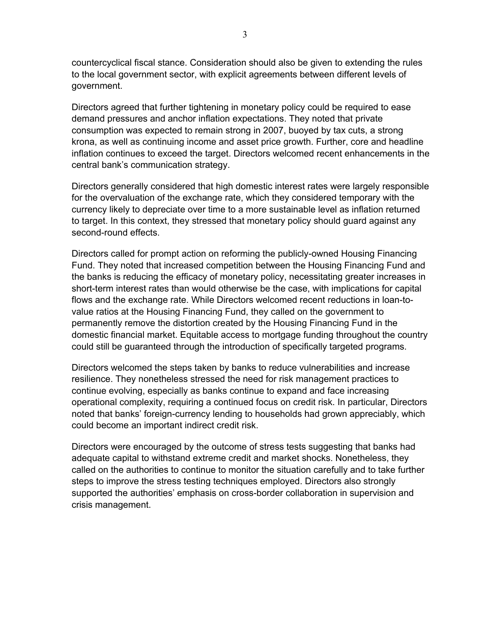countercyclical fiscal stance. Consideration should also be given to extending the rules to the local government sector, with explicit agreements between different levels of government.

Directors agreed that further tightening in monetary policy could be required to ease demand pressures and anchor inflation expectations. They noted that private consumption was expected to remain strong in 2007, buoyed by tax cuts, a strong krona, as well as continuing income and asset price growth. Further, core and headline inflation continues to exceed the target. Directors welcomed recent enhancements in the central bank's communication strategy.

Directors generally considered that high domestic interest rates were largely responsible for the overvaluation of the exchange rate, which they considered temporary with the currency likely to depreciate over time to a more sustainable level as inflation returned to target. In this context, they stressed that monetary policy should guard against any second-round effects.

Directors called for prompt action on reforming the publicly-owned Housing Financing Fund. They noted that increased competition between the Housing Financing Fund and the banks is reducing the efficacy of monetary policy, necessitating greater increases in short-term interest rates than would otherwise be the case, with implications for capital flows and the exchange rate. While Directors welcomed recent reductions in loan-tovalue ratios at the Housing Financing Fund, they called on the government to permanently remove the distortion created by the Housing Financing Fund in the domestic financial market. Equitable access to mortgage funding throughout the country could still be guaranteed through the introduction of specifically targeted programs.

Directors welcomed the steps taken by banks to reduce vulnerabilities and increase resilience. They nonetheless stressed the need for risk management practices to continue evolving, especially as banks continue to expand and face increasing operational complexity, requiring a continued focus on credit risk. In particular, Directors noted that banks' foreign-currency lending to households had grown appreciably, which could become an important indirect credit risk.

Directors were encouraged by the outcome of stress tests suggesting that banks had adequate capital to withstand extreme credit and market shocks. Nonetheless, they called on the authorities to continue to monitor the situation carefully and to take further steps to improve the stress testing techniques employed. Directors also strongly supported the authorities' emphasis on cross-border collaboration in supervision and crisis management.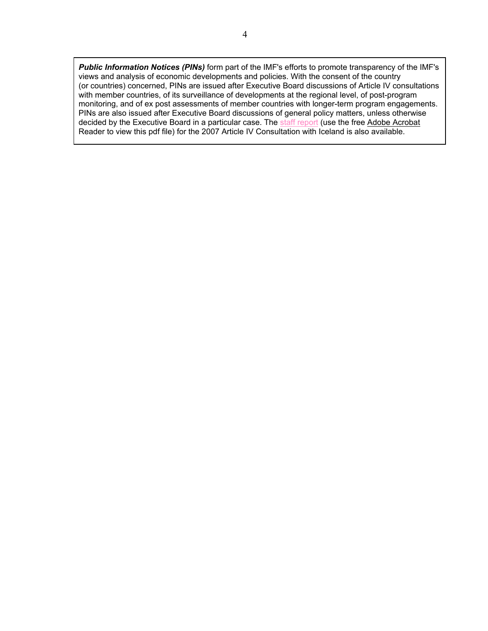*Public Information Notices (PINs)* form part of the IMF's efforts to promote transparency of the IMF's views and analysis of economic developments and policies. With the consent of the country (or countries) concerned, PINs are issued after Executive Board discussions of Article IV consultations with member countries, of its surveillance of developments at the regional level, of post-program monitoring, and of ex post assessments of member countries with longer-term program engagements. PINs are also issued after Executive Board discussions of general policy matters, unless otherwise decided by the Executive Board in a particular case. The staff report (use the free Adobe Acrobat Reader to view this pdf file) for the 2007 Article IV Consultation with Iceland is also available.